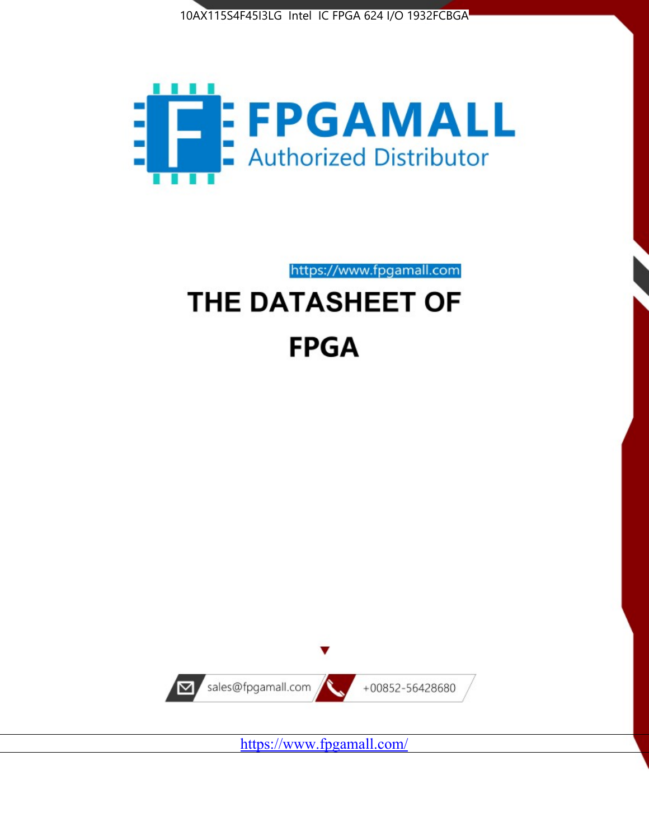



https://www.fpgamall.com

# THE DATASHEET OF **FPGA**



<https://www.fpgamall.com/>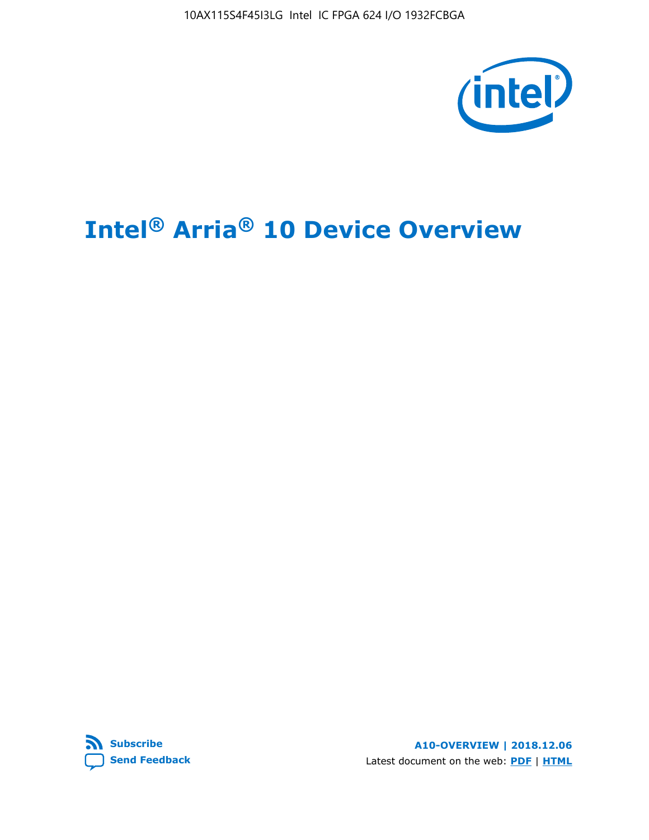10AX115S4F45I3LG Intel IC FPGA 624 I/O 1932FCBGA



# **Intel® Arria® 10 Device Overview**



**A10-OVERVIEW | 2018.12.06** Latest document on the web: **[PDF](https://www.intel.com/content/dam/www/programmable/us/en/pdfs/literature/hb/arria-10/a10_overview.pdf)** | **[HTML](https://www.intel.com/content/www/us/en/programmable/documentation/sam1403480274650.html)**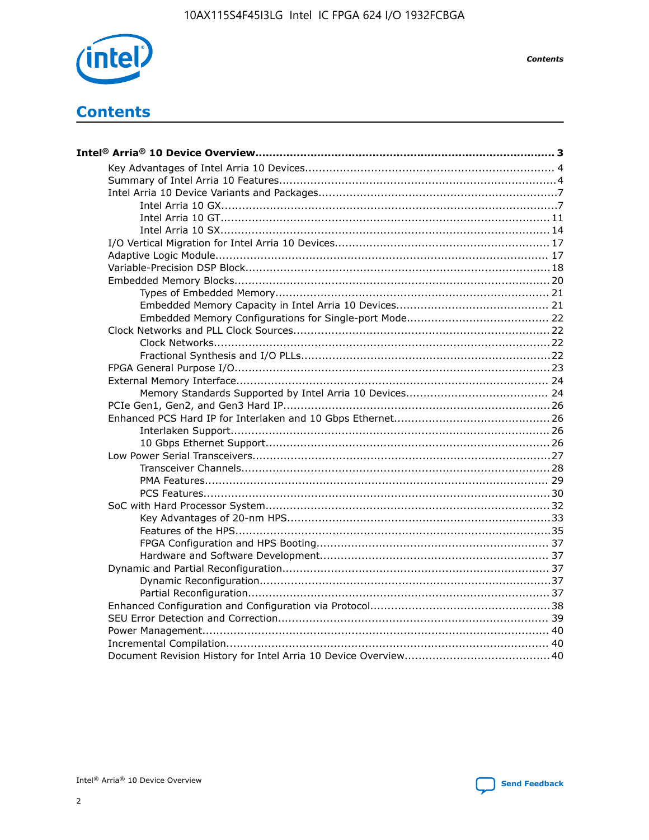

**Contents** 

# **Contents**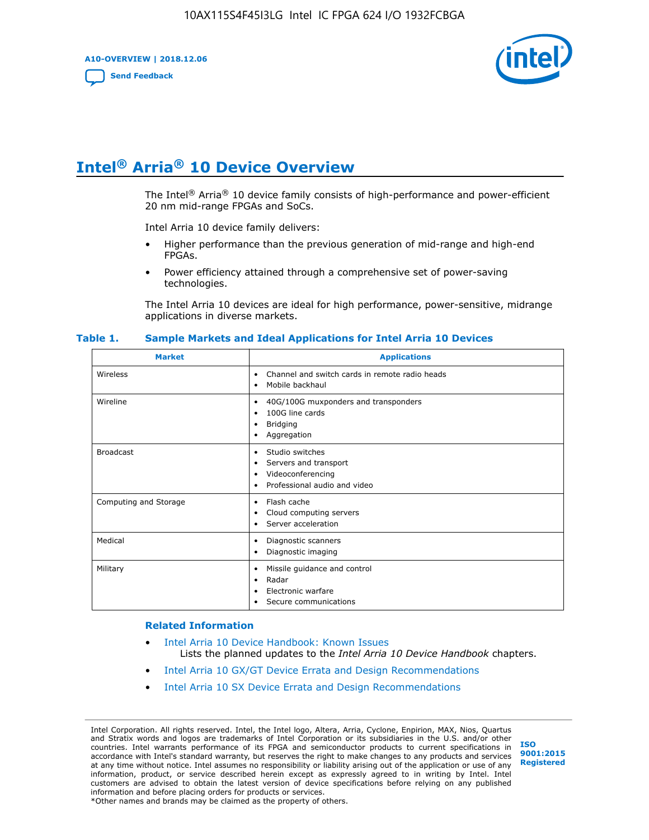**A10-OVERVIEW | 2018.12.06**

**[Send Feedback](mailto:FPGAtechdocfeedback@intel.com?subject=Feedback%20on%20Intel%20Arria%2010%20Device%20Overview%20(A10-OVERVIEW%202018.12.06)&body=We%20appreciate%20your%20feedback.%20In%20your%20comments,%20also%20specify%20the%20page%20number%20or%20paragraph.%20Thank%20you.)**



# **Intel® Arria® 10 Device Overview**

The Intel<sup>®</sup> Arria<sup>®</sup> 10 device family consists of high-performance and power-efficient 20 nm mid-range FPGAs and SoCs.

Intel Arria 10 device family delivers:

- Higher performance than the previous generation of mid-range and high-end FPGAs.
- Power efficiency attained through a comprehensive set of power-saving technologies.

The Intel Arria 10 devices are ideal for high performance, power-sensitive, midrange applications in diverse markets.

| <b>Market</b>         | <b>Applications</b>                                                                                               |
|-----------------------|-------------------------------------------------------------------------------------------------------------------|
| Wireless              | Channel and switch cards in remote radio heads<br>٠<br>Mobile backhaul<br>٠                                       |
| Wireline              | 40G/100G muxponders and transponders<br>٠<br>100G line cards<br>٠<br>Bridging<br>٠<br>Aggregation<br>٠            |
| <b>Broadcast</b>      | Studio switches<br>٠<br>Servers and transport<br>٠<br>Videoconferencing<br>٠<br>Professional audio and video<br>٠ |
| Computing and Storage | Flash cache<br>٠<br>Cloud computing servers<br>٠<br>Server acceleration<br>$\bullet$                              |
| Medical               | Diagnostic scanners<br>٠<br>Diagnostic imaging<br>٠                                                               |
| Military              | Missile guidance and control<br>٠<br>Radar<br>٠<br>Electronic warfare<br>٠<br>Secure communications<br>٠          |

#### **Table 1. Sample Markets and Ideal Applications for Intel Arria 10 Devices**

#### **Related Information**

- [Intel Arria 10 Device Handbook: Known Issues](http://www.altera.com/support/kdb/solutions/rd07302013_646.html) Lists the planned updates to the *Intel Arria 10 Device Handbook* chapters.
- [Intel Arria 10 GX/GT Device Errata and Design Recommendations](https://www.intel.com/content/www/us/en/programmable/documentation/agz1493851706374.html#yqz1494433888646)
- [Intel Arria 10 SX Device Errata and Design Recommendations](https://www.intel.com/content/www/us/en/programmable/documentation/cru1462832385668.html#cru1462832558642)

Intel Corporation. All rights reserved. Intel, the Intel logo, Altera, Arria, Cyclone, Enpirion, MAX, Nios, Quartus and Stratix words and logos are trademarks of Intel Corporation or its subsidiaries in the U.S. and/or other countries. Intel warrants performance of its FPGA and semiconductor products to current specifications in accordance with Intel's standard warranty, but reserves the right to make changes to any products and services at any time without notice. Intel assumes no responsibility or liability arising out of the application or use of any information, product, or service described herein except as expressly agreed to in writing by Intel. Intel customers are advised to obtain the latest version of device specifications before relying on any published information and before placing orders for products or services. \*Other names and brands may be claimed as the property of others.

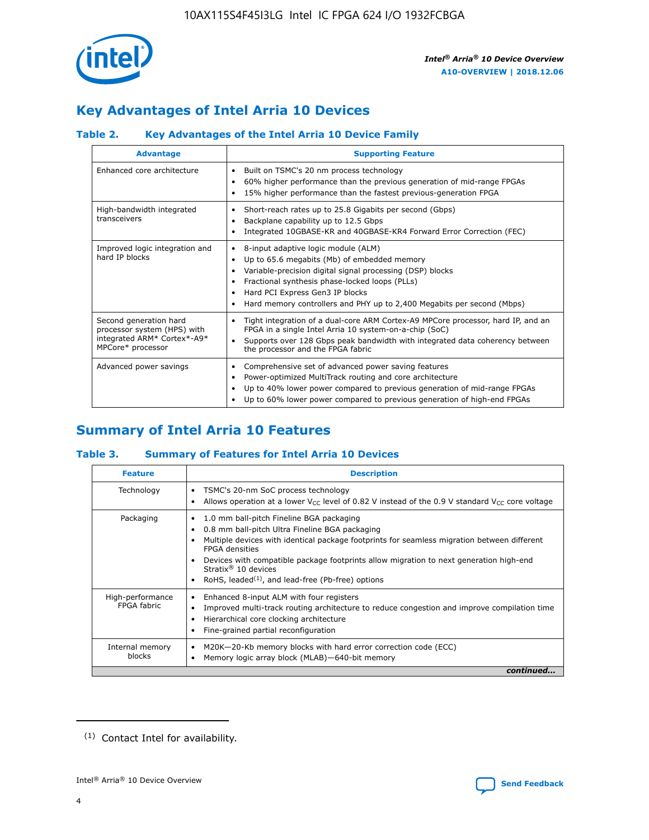

# **Key Advantages of Intel Arria 10 Devices**

# **Table 2. Key Advantages of the Intel Arria 10 Device Family**

| <b>Advantage</b>                                                                                          | <b>Supporting Feature</b>                                                                                                                                                                                                                                                                                                |
|-----------------------------------------------------------------------------------------------------------|--------------------------------------------------------------------------------------------------------------------------------------------------------------------------------------------------------------------------------------------------------------------------------------------------------------------------|
| Enhanced core architecture                                                                                | Built on TSMC's 20 nm process technology<br>٠<br>60% higher performance than the previous generation of mid-range FPGAs<br>٠<br>15% higher performance than the fastest previous-generation FPGA<br>٠                                                                                                                    |
| High-bandwidth integrated<br>transceivers                                                                 | Short-reach rates up to 25.8 Gigabits per second (Gbps)<br>٠<br>Backplane capability up to 12.5 Gbps<br>٠<br>Integrated 10GBASE-KR and 40GBASE-KR4 Forward Error Correction (FEC)<br>٠                                                                                                                                   |
| Improved logic integration and<br>hard IP blocks                                                          | 8-input adaptive logic module (ALM)<br>٠<br>Up to 65.6 megabits (Mb) of embedded memory<br>٠<br>Variable-precision digital signal processing (DSP) blocks<br>Fractional synthesis phase-locked loops (PLLs)<br>Hard PCI Express Gen3 IP blocks<br>Hard memory controllers and PHY up to 2,400 Megabits per second (Mbps) |
| Second generation hard<br>processor system (HPS) with<br>integrated ARM* Cortex*-A9*<br>MPCore* processor | Tight integration of a dual-core ARM Cortex-A9 MPCore processor, hard IP, and an<br>٠<br>FPGA in a single Intel Arria 10 system-on-a-chip (SoC)<br>Supports over 128 Gbps peak bandwidth with integrated data coherency between<br>$\bullet$<br>the processor and the FPGA fabric                                        |
| Advanced power savings                                                                                    | Comprehensive set of advanced power saving features<br>٠<br>Power-optimized MultiTrack routing and core architecture<br>٠<br>Up to 40% lower power compared to previous generation of mid-range FPGAs<br>Up to 60% lower power compared to previous generation of high-end FPGAs                                         |

# **Summary of Intel Arria 10 Features**

## **Table 3. Summary of Features for Intel Arria 10 Devices**

| <b>Feature</b>                  | <b>Description</b>                                                                                                                                                                                                                                                                                                                                                                                 |
|---------------------------------|----------------------------------------------------------------------------------------------------------------------------------------------------------------------------------------------------------------------------------------------------------------------------------------------------------------------------------------------------------------------------------------------------|
| Technology                      | TSMC's 20-nm SoC process technology<br>Allows operation at a lower $V_{\text{CC}}$ level of 0.82 V instead of the 0.9 V standard $V_{\text{CC}}$ core voltage                                                                                                                                                                                                                                      |
| Packaging                       | 1.0 mm ball-pitch Fineline BGA packaging<br>٠<br>0.8 mm ball-pitch Ultra Fineline BGA packaging<br>Multiple devices with identical package footprints for seamless migration between different<br><b>FPGA</b> densities<br>Devices with compatible package footprints allow migration to next generation high-end<br>Stratix $@10$ devices<br>RoHS, leaded $(1)$ , and lead-free (Pb-free) options |
| High-performance<br>FPGA fabric | Enhanced 8-input ALM with four registers<br>Improved multi-track routing architecture to reduce congestion and improve compilation time<br>Hierarchical core clocking architecture<br>Fine-grained partial reconfiguration                                                                                                                                                                         |
| Internal memory<br>blocks       | M20K-20-Kb memory blocks with hard error correction code (ECC)<br>Memory logic array block (MLAB)-640-bit memory                                                                                                                                                                                                                                                                                   |
|                                 | continued                                                                                                                                                                                                                                                                                                                                                                                          |



<sup>(1)</sup> Contact Intel for availability.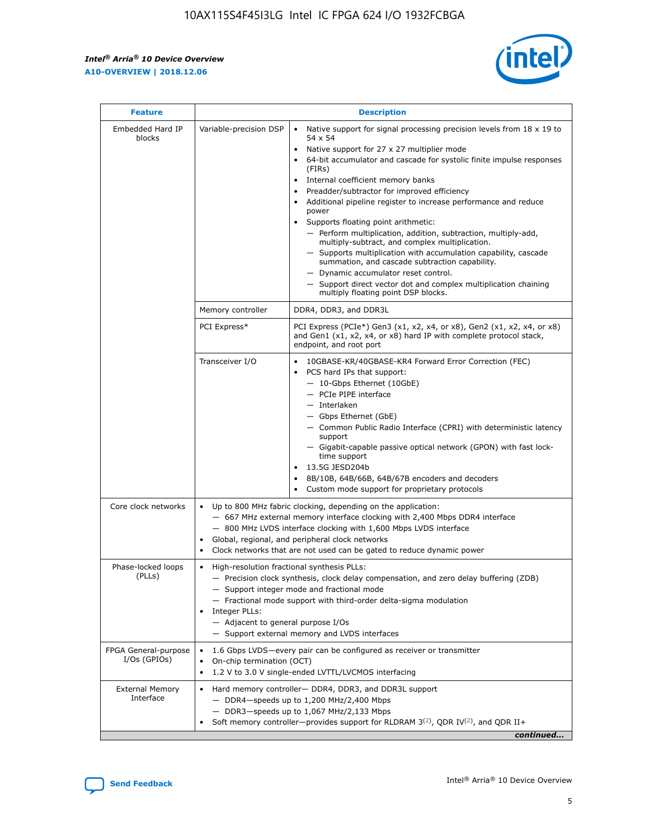r



| <b>Feature</b>                         |                                                                                                                                                                                                                                                                           | <b>Description</b>                                                                                                                                                                                                                                                                                                                                                                                                                                                                                                                                                                                                                                                                                                                                                                                                                                               |  |  |  |  |
|----------------------------------------|---------------------------------------------------------------------------------------------------------------------------------------------------------------------------------------------------------------------------------------------------------------------------|------------------------------------------------------------------------------------------------------------------------------------------------------------------------------------------------------------------------------------------------------------------------------------------------------------------------------------------------------------------------------------------------------------------------------------------------------------------------------------------------------------------------------------------------------------------------------------------------------------------------------------------------------------------------------------------------------------------------------------------------------------------------------------------------------------------------------------------------------------------|--|--|--|--|
| Embedded Hard IP<br>blocks             | Variable-precision DSP                                                                                                                                                                                                                                                    | Native support for signal processing precision levels from $18 \times 19$ to<br>$\bullet$<br>54 x 54<br>Native support for 27 x 27 multiplier mode<br>$\bullet$<br>64-bit accumulator and cascade for systolic finite impulse responses<br>(FIRs)<br>Internal coefficient memory banks<br>$\bullet$<br>Preadder/subtractor for improved efficiency<br>Additional pipeline register to increase performance and reduce<br>power<br>Supports floating point arithmetic:<br>- Perform multiplication, addition, subtraction, multiply-add,<br>multiply-subtract, and complex multiplication.<br>- Supports multiplication with accumulation capability, cascade<br>summation, and cascade subtraction capability.<br>- Dynamic accumulator reset control.<br>- Support direct vector dot and complex multiplication chaining<br>multiply floating point DSP blocks. |  |  |  |  |
|                                        | Memory controller                                                                                                                                                                                                                                                         | DDR4, DDR3, and DDR3L                                                                                                                                                                                                                                                                                                                                                                                                                                                                                                                                                                                                                                                                                                                                                                                                                                            |  |  |  |  |
|                                        | PCI Express*                                                                                                                                                                                                                                                              | PCI Express (PCIe*) Gen3 (x1, x2, x4, or x8), Gen2 (x1, x2, x4, or x8)<br>and Gen1 (x1, x2, x4, or x8) hard IP with complete protocol stack,<br>endpoint, and root port                                                                                                                                                                                                                                                                                                                                                                                                                                                                                                                                                                                                                                                                                          |  |  |  |  |
|                                        | Transceiver I/O                                                                                                                                                                                                                                                           | 10GBASE-KR/40GBASE-KR4 Forward Error Correction (FEC)<br>PCS hard IPs that support:<br>- 10-Gbps Ethernet (10GbE)<br>- PCIe PIPE interface<br>- Interlaken<br>- Gbps Ethernet (GbE)<br>- Common Public Radio Interface (CPRI) with deterministic latency<br>support<br>- Gigabit-capable passive optical network (GPON) with fast lock-<br>time support<br>13.5G JESD204b<br>$\bullet$<br>8B/10B, 64B/66B, 64B/67B encoders and decoders<br>Custom mode support for proprietary protocols                                                                                                                                                                                                                                                                                                                                                                        |  |  |  |  |
| Core clock networks                    | $\bullet$                                                                                                                                                                                                                                                                 | Up to 800 MHz fabric clocking, depending on the application:<br>- 667 MHz external memory interface clocking with 2,400 Mbps DDR4 interface<br>- 800 MHz LVDS interface clocking with 1,600 Mbps LVDS interface<br>Global, regional, and peripheral clock networks<br>Clock networks that are not used can be gated to reduce dynamic power                                                                                                                                                                                                                                                                                                                                                                                                                                                                                                                      |  |  |  |  |
| Phase-locked loops<br>(PLLs)           | High-resolution fractional synthesis PLLs:<br>$\bullet$<br>Integer PLLs:<br>- Adjacent to general purpose I/Os                                                                                                                                                            | - Precision clock synthesis, clock delay compensation, and zero delay buffering (ZDB)<br>- Support integer mode and fractional mode<br>- Fractional mode support with third-order delta-sigma modulation<br>- Support external memory and LVDS interfaces                                                                                                                                                                                                                                                                                                                                                                                                                                                                                                                                                                                                        |  |  |  |  |
| FPGA General-purpose<br>$I/Os$ (GPIOs) | 1.6 Gbps LVDS-every pair can be configured as receiver or transmitter<br>On-chip termination (OCT)<br>٠<br>1.2 V to 3.0 V single-ended LVTTL/LVCMOS interfacing<br>$\bullet$                                                                                              |                                                                                                                                                                                                                                                                                                                                                                                                                                                                                                                                                                                                                                                                                                                                                                                                                                                                  |  |  |  |  |
| <b>External Memory</b><br>Interface    | Hard memory controller- DDR4, DDR3, and DDR3L support<br>$\bullet$<br>$-$ DDR4-speeds up to 1,200 MHz/2,400 Mbps<br>- DDR3-speeds up to 1,067 MHz/2,133 Mbps<br>Soft memory controller—provides support for RLDRAM $3^{(2)}$ , QDR IV $^{(2)}$ , and QDR II+<br>continued |                                                                                                                                                                                                                                                                                                                                                                                                                                                                                                                                                                                                                                                                                                                                                                                                                                                                  |  |  |  |  |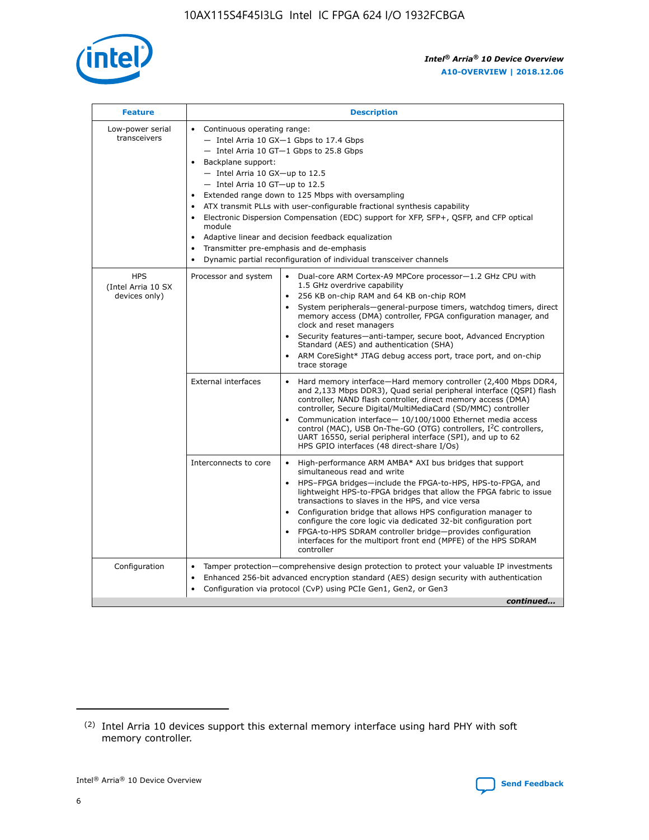

| <b>Feature</b>                                    | <b>Description</b>                                                                                                                                                                                                                                                                                                                                                                                                                                                                                                                                                                                                                                  |
|---------------------------------------------------|-----------------------------------------------------------------------------------------------------------------------------------------------------------------------------------------------------------------------------------------------------------------------------------------------------------------------------------------------------------------------------------------------------------------------------------------------------------------------------------------------------------------------------------------------------------------------------------------------------------------------------------------------------|
| Low-power serial<br>transceivers                  | • Continuous operating range:<br>- Intel Arria 10 GX-1 Gbps to 17.4 Gbps<br>- Intel Arria 10 GT-1 Gbps to 25.8 Gbps<br>Backplane support:<br>- Intel Arria 10 GX-up to 12.5<br>- Intel Arria 10 GT-up to 12.5<br>Extended range down to 125 Mbps with oversampling<br>ATX transmit PLLs with user-configurable fractional synthesis capability<br>Electronic Dispersion Compensation (EDC) support for XFP, SFP+, QSFP, and CFP optical<br>module<br>Adaptive linear and decision feedback equalization<br>$\bullet$<br>Transmitter pre-emphasis and de-emphasis<br>$\bullet$<br>Dynamic partial reconfiguration of individual transceiver channels |
| <b>HPS</b><br>(Intel Arria 10 SX<br>devices only) | Dual-core ARM Cortex-A9 MPCore processor-1.2 GHz CPU with<br>Processor and system<br>$\bullet$<br>1.5 GHz overdrive capability<br>256 KB on-chip RAM and 64 KB on-chip ROM<br>System peripherals—general-purpose timers, watchdog timers, direct<br>memory access (DMA) controller, FPGA configuration manager, and<br>clock and reset managers<br>Security features-anti-tamper, secure boot, Advanced Encryption<br>Standard (AES) and authentication (SHA)<br>ARM CoreSight* JTAG debug access port, trace port, and on-chip<br>trace storage                                                                                                    |
|                                                   | <b>External interfaces</b><br>Hard memory interface-Hard memory controller (2,400 Mbps DDR4,<br>$\bullet$<br>and 2,133 Mbps DDR3), Quad serial peripheral interface (QSPI) flash<br>controller, NAND flash controller, direct memory access (DMA)<br>controller, Secure Digital/MultiMediaCard (SD/MMC) controller<br>Communication interface-10/100/1000 Ethernet media access<br>control (MAC), USB On-The-GO (OTG) controllers, I <sup>2</sup> C controllers,<br>UART 16550, serial peripheral interface (SPI), and up to 62<br>HPS GPIO interfaces (48 direct-share I/Os)                                                                       |
|                                                   | High-performance ARM AMBA* AXI bus bridges that support<br>Interconnects to core<br>$\bullet$<br>simultaneous read and write<br>HPS-FPGA bridges-include the FPGA-to-HPS, HPS-to-FPGA, and<br>$\bullet$<br>lightweight HPS-to-FPGA bridges that allow the FPGA fabric to issue<br>transactions to slaves in the HPS, and vice versa<br>Configuration bridge that allows HPS configuration manager to<br>configure the core logic via dedicated 32-bit configuration port<br>FPGA-to-HPS SDRAM controller bridge-provides configuration<br>interfaces for the multiport front end (MPFE) of the HPS SDRAM<br>controller                              |
| Configuration                                     | Tamper protection—comprehensive design protection to protect your valuable IP investments<br>Enhanced 256-bit advanced encryption standard (AES) design security with authentication<br>٠<br>Configuration via protocol (CvP) using PCIe Gen1, Gen2, or Gen3<br>continued                                                                                                                                                                                                                                                                                                                                                                           |

<sup>(2)</sup> Intel Arria 10 devices support this external memory interface using hard PHY with soft memory controller.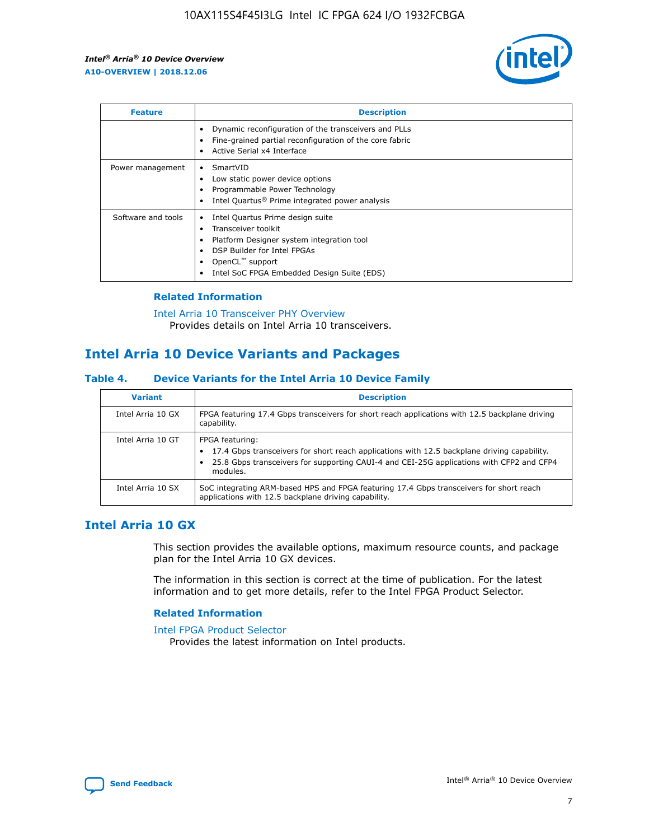

| <b>Feature</b>     | <b>Description</b>                                                                                                                                                                                                            |
|--------------------|-------------------------------------------------------------------------------------------------------------------------------------------------------------------------------------------------------------------------------|
|                    | Dynamic reconfiguration of the transceivers and PLLs<br>Fine-grained partial reconfiguration of the core fabric<br>Active Serial x4 Interface<br>$\bullet$                                                                    |
| Power management   | SmartVID<br>Low static power device options<br>Programmable Power Technology<br>Intel Quartus <sup>®</sup> Prime integrated power analysis                                                                                    |
| Software and tools | Intel Quartus Prime design suite<br>Transceiver toolkit<br>$\bullet$<br>Platform Designer system integration tool<br>DSP Builder for Intel FPGAs<br>OpenCL <sup>"</sup> support<br>Intel SoC FPGA Embedded Design Suite (EDS) |

# **Related Information**

#### [Intel Arria 10 Transceiver PHY Overview](https://www.intel.com/content/www/us/en/programmable/documentation/nik1398707230472.html#nik1398706768037) Provides details on Intel Arria 10 transceivers.

# **Intel Arria 10 Device Variants and Packages**

## **Table 4. Device Variants for the Intel Arria 10 Device Family**

| <b>Variant</b>    | <b>Description</b>                                                                                                                                                                                                     |
|-------------------|------------------------------------------------------------------------------------------------------------------------------------------------------------------------------------------------------------------------|
| Intel Arria 10 GX | FPGA featuring 17.4 Gbps transceivers for short reach applications with 12.5 backplane driving<br>capability.                                                                                                          |
| Intel Arria 10 GT | FPGA featuring:<br>17.4 Gbps transceivers for short reach applications with 12.5 backplane driving capability.<br>25.8 Gbps transceivers for supporting CAUI-4 and CEI-25G applications with CFP2 and CFP4<br>modules. |
| Intel Arria 10 SX | SoC integrating ARM-based HPS and FPGA featuring 17.4 Gbps transceivers for short reach<br>applications with 12.5 backplane driving capability.                                                                        |

# **Intel Arria 10 GX**

This section provides the available options, maximum resource counts, and package plan for the Intel Arria 10 GX devices.

The information in this section is correct at the time of publication. For the latest information and to get more details, refer to the Intel FPGA Product Selector.

## **Related Information**

#### [Intel FPGA Product Selector](http://www.altera.com/products/selector/psg-selector.html) Provides the latest information on Intel products.

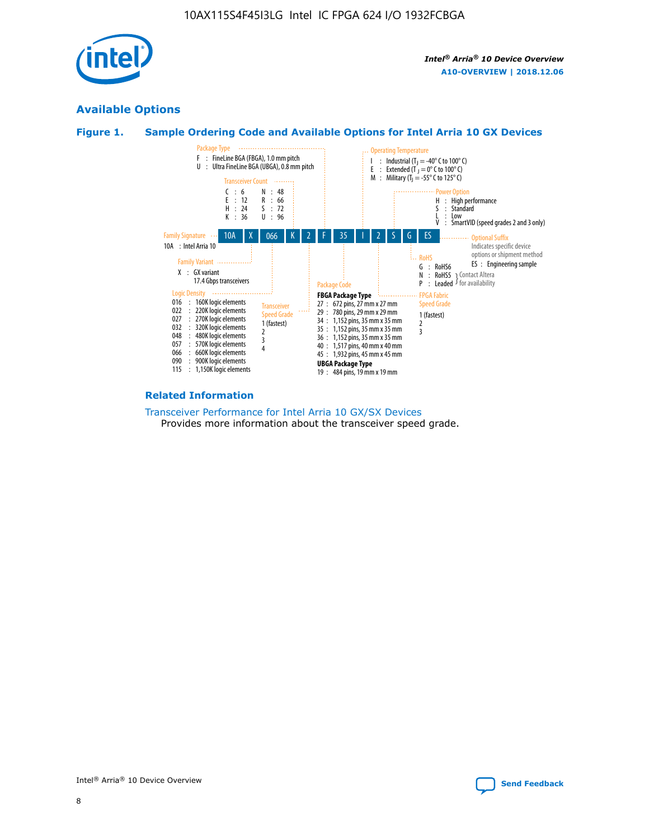

# **Available Options**





#### **Related Information**

#### [Transceiver Performance for Intel Arria 10 GX/SX Devices](https://www.intel.com/content/www/us/en/programmable/documentation/mcn1413182292568.html#mcn1413213965502) Provides more information about the transceiver speed grade.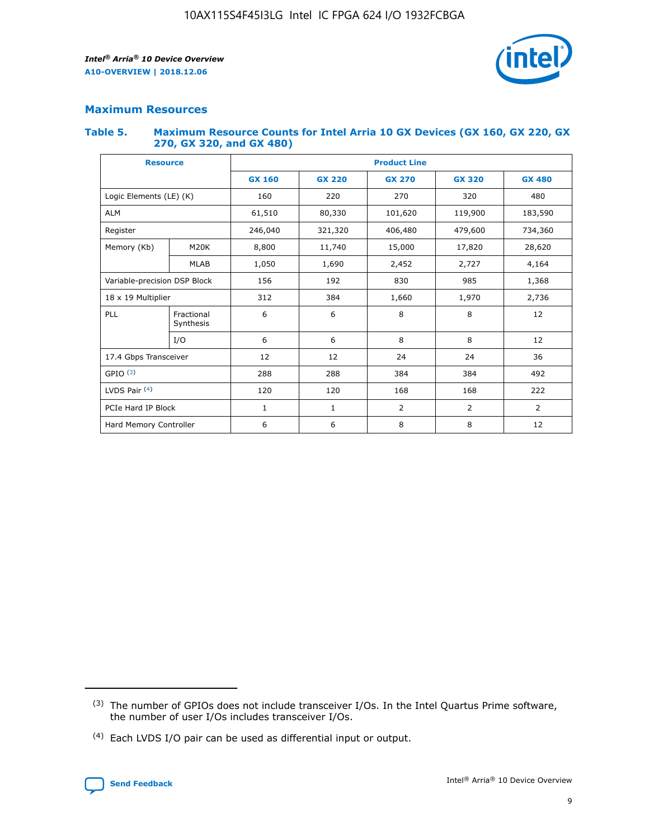

# **Maximum Resources**

#### **Table 5. Maximum Resource Counts for Intel Arria 10 GX Devices (GX 160, GX 220, GX 270, GX 320, and GX 480)**

| <b>Resource</b>              |                         | <b>Product Line</b> |                                                 |                |                |                |  |  |
|------------------------------|-------------------------|---------------------|-------------------------------------------------|----------------|----------------|----------------|--|--|
|                              |                         | <b>GX 160</b>       | <b>GX 220</b><br><b>GX 270</b><br><b>GX 320</b> |                |                | <b>GX 480</b>  |  |  |
| Logic Elements (LE) (K)      |                         | 160                 | 220                                             | 270            | 320            | 480            |  |  |
| <b>ALM</b>                   |                         | 61,510              | 80,330                                          | 101,620        | 119,900        | 183,590        |  |  |
| Register                     |                         | 246,040             | 406,480<br>479,600<br>321,320                   |                |                | 734,360        |  |  |
| Memory (Kb)                  | M <sub>20</sub> K       | 8,800               | 11,740                                          | 15,000         | 17,820         | 28,620         |  |  |
|                              | <b>MLAB</b>             | 1,050               | 1,690                                           | 2,452          | 2,727          | 4,164          |  |  |
| Variable-precision DSP Block |                         | 156                 | 192                                             | 830            | 985            |                |  |  |
| 18 x 19 Multiplier           |                         | 312                 | 384                                             | 1,970<br>1,660 |                | 2,736          |  |  |
| PLL                          | Fractional<br>Synthesis | 6                   | 6                                               | 8              | 8              | 12             |  |  |
|                              | I/O                     | 6                   | 6                                               | 8              | 8              | 12             |  |  |
| 17.4 Gbps Transceiver        |                         | 12                  | 12                                              | 24             | 24             | 36             |  |  |
| GPIO <sup>(3)</sup>          |                         | 288                 | 288                                             | 384<br>384     |                | 492            |  |  |
| LVDS Pair $(4)$              |                         | 120                 | 120                                             | 168            | 168            | 222            |  |  |
| PCIe Hard IP Block           |                         | 1                   | 1                                               | 2              | $\overline{2}$ | $\overline{2}$ |  |  |
| Hard Memory Controller       |                         | 6                   | 6                                               | 8              | 8              | 12             |  |  |

<sup>(4)</sup> Each LVDS I/O pair can be used as differential input or output.



<sup>(3)</sup> The number of GPIOs does not include transceiver I/Os. In the Intel Quartus Prime software, the number of user I/Os includes transceiver I/Os.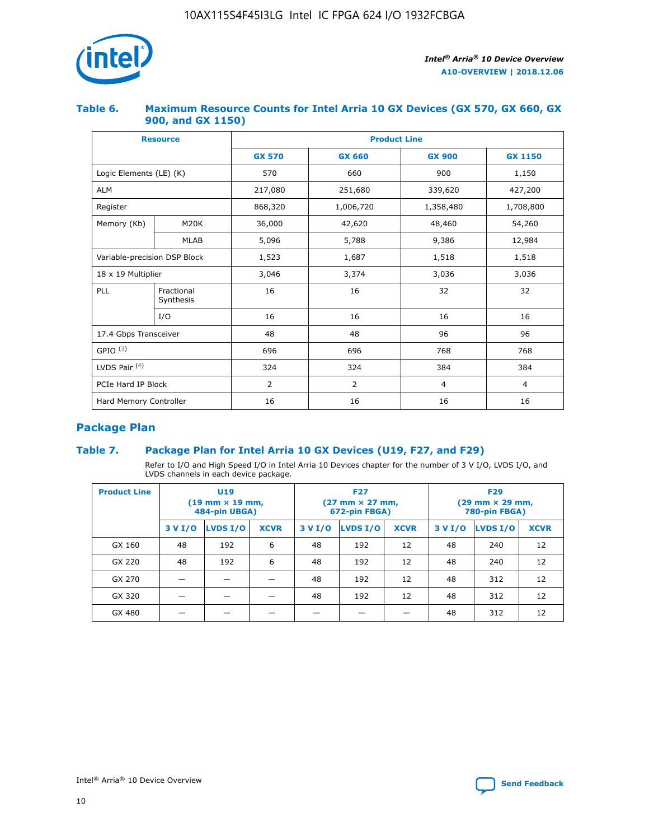

## **Table 6. Maximum Resource Counts for Intel Arria 10 GX Devices (GX 570, GX 660, GX 900, and GX 1150)**

|                              | <b>Resource</b>         | <b>Product Line</b> |                        |                |                |  |  |  |
|------------------------------|-------------------------|---------------------|------------------------|----------------|----------------|--|--|--|
|                              |                         | <b>GX 570</b>       | <b>GX 660</b>          | <b>GX 900</b>  | <b>GX 1150</b> |  |  |  |
| Logic Elements (LE) (K)      |                         | 570                 | 660                    | 900            | 1,150          |  |  |  |
| <b>ALM</b>                   |                         | 217,080             | 251,680                | 339,620        | 427,200        |  |  |  |
| Register                     |                         | 868,320             | 1,006,720<br>1,358,480 |                | 1,708,800      |  |  |  |
| Memory (Kb)                  | <b>M20K</b>             | 36,000              | 42,620                 | 48,460         | 54,260         |  |  |  |
|                              | <b>MLAB</b>             | 5,096               | 5,788                  | 9,386          | 12,984         |  |  |  |
| Variable-precision DSP Block |                         | 1,523               | 1,687                  | 1,518          | 1,518          |  |  |  |
| $18 \times 19$ Multiplier    |                         | 3,046               | 3,374                  | 3,036          | 3,036          |  |  |  |
| PLL                          | Fractional<br>Synthesis | 16                  | 16                     | 32             | 32             |  |  |  |
|                              | I/O                     | 16                  | 16                     | 16             | 16             |  |  |  |
| 17.4 Gbps Transceiver        |                         | 48                  | 48<br>96               |                | 96             |  |  |  |
| GPIO <sup>(3)</sup>          |                         | 696                 | 696                    | 768            | 768            |  |  |  |
| LVDS Pair $(4)$              |                         | 324                 | 324                    | 384            | 384            |  |  |  |
| PCIe Hard IP Block           |                         | 2                   | $\overline{2}$         | $\overline{4}$ | 4              |  |  |  |
| Hard Memory Controller       |                         | 16                  | 16                     | 16             |                |  |  |  |

# **Package Plan**

# **Table 7. Package Plan for Intel Arria 10 GX Devices (U19, F27, and F29)**

Refer to I/O and High Speed I/O in Intel Arria 10 Devices chapter for the number of 3 V I/O, LVDS I/O, and LVDS channels in each device package.

| <b>Product Line</b> | U <sub>19</sub><br>$(19 \text{ mm} \times 19 \text{ mm})$<br>484-pin UBGA) |          |             |         | <b>F27</b><br>(27 mm × 27 mm,<br>672-pin FBGA) |             | <b>F29</b><br>(29 mm × 29 mm,<br>780-pin FBGA) |          |             |  |
|---------------------|----------------------------------------------------------------------------|----------|-------------|---------|------------------------------------------------|-------------|------------------------------------------------|----------|-------------|--|
|                     | 3 V I/O                                                                    | LVDS I/O | <b>XCVR</b> | 3 V I/O | LVDS I/O                                       | <b>XCVR</b> | 3 V I/O                                        | LVDS I/O | <b>XCVR</b> |  |
| GX 160              | 48                                                                         | 192      | 6           | 48      | 192                                            | 12          | 48                                             | 240      | 12          |  |
| GX 220              | 48                                                                         | 192      | 6           | 48      | 192                                            | 12          | 48                                             | 240      | 12          |  |
| GX 270              |                                                                            |          |             | 48      | 192                                            | 12          | 48                                             | 312      | 12          |  |
| GX 320              |                                                                            |          |             | 48      | 192                                            | 12          | 48                                             | 312      | 12          |  |
| GX 480              |                                                                            |          |             |         |                                                |             | 48                                             | 312      | 12          |  |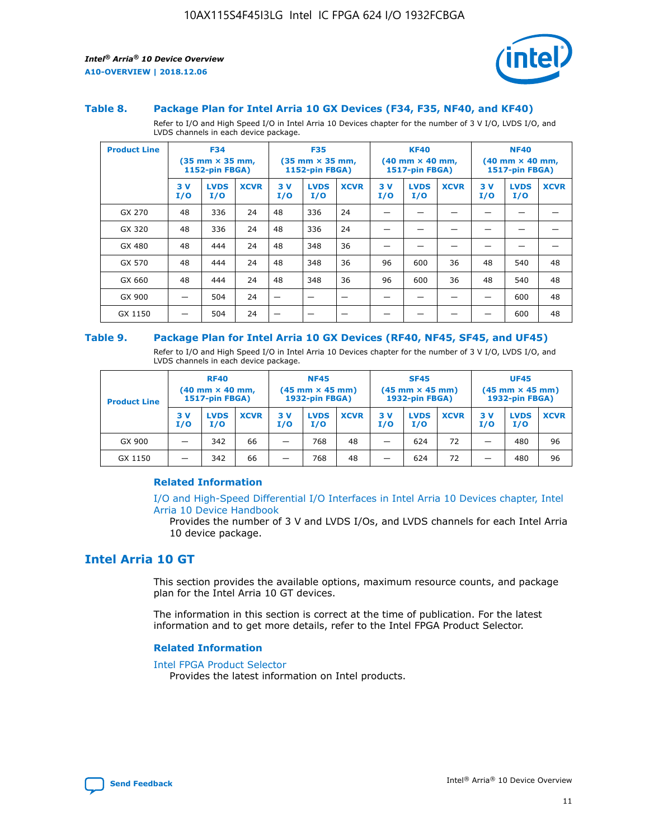

#### **Table 8. Package Plan for Intel Arria 10 GX Devices (F34, F35, NF40, and KF40)**

Refer to I/O and High Speed I/O in Intel Arria 10 Devices chapter for the number of 3 V I/O, LVDS I/O, and LVDS channels in each device package.

| <b>Product Line</b> | <b>F34</b><br>$(35 \text{ mm} \times 35 \text{ mm})$<br><b>1152-pin FBGA)</b> |                    | <b>F35</b><br>$(35 \text{ mm} \times 35 \text{ mm})$<br><b>1152-pin FBGA)</b> |           | <b>KF40</b><br>$(40$ mm $\times$ 40 mm,<br>1517-pin FBGA) |             |           | <b>NF40</b><br>$(40 \text{ mm} \times 40 \text{ mm})$<br>1517-pin FBGA) |             |           |                    |             |
|---------------------|-------------------------------------------------------------------------------|--------------------|-------------------------------------------------------------------------------|-----------|-----------------------------------------------------------|-------------|-----------|-------------------------------------------------------------------------|-------------|-----------|--------------------|-------------|
|                     | 3V<br>I/O                                                                     | <b>LVDS</b><br>I/O | <b>XCVR</b>                                                                   | 3V<br>I/O | <b>LVDS</b><br>I/O                                        | <b>XCVR</b> | 3V<br>I/O | <b>LVDS</b><br>I/O                                                      | <b>XCVR</b> | 3V<br>I/O | <b>LVDS</b><br>I/O | <b>XCVR</b> |
| GX 270              | 48                                                                            | 336                | 24                                                                            | 48        | 336                                                       | 24          |           |                                                                         |             |           |                    |             |
| GX 320              | 48                                                                            | 336                | 24                                                                            | 48        | 336                                                       | 24          |           |                                                                         |             |           |                    |             |
| GX 480              | 48                                                                            | 444                | 24                                                                            | 48        | 348                                                       | 36          |           |                                                                         |             |           |                    |             |
| GX 570              | 48                                                                            | 444                | 24                                                                            | 48        | 348                                                       | 36          | 96        | 600                                                                     | 36          | 48        | 540                | 48          |
| GX 660              | 48                                                                            | 444                | 24                                                                            | 48        | 348                                                       | 36          | 96        | 600                                                                     | 36          | 48        | 540                | 48          |
| GX 900              |                                                                               | 504                | 24                                                                            | —         |                                                           | -           |           |                                                                         |             |           | 600                | 48          |
| GX 1150             |                                                                               | 504                | 24                                                                            |           |                                                           |             |           |                                                                         |             |           | 600                | 48          |

#### **Table 9. Package Plan for Intel Arria 10 GX Devices (RF40, NF45, SF45, and UF45)**

Refer to I/O and High Speed I/O in Intel Arria 10 Devices chapter for the number of 3 V I/O, LVDS I/O, and LVDS channels in each device package.

| <b>Product Line</b> | <b>RF40</b><br>$(40$ mm $\times$ 40 mm,<br>1517-pin FBGA) |                    |             | <b>NF45</b><br>$(45 \text{ mm} \times 45 \text{ mm})$<br><b>1932-pin FBGA)</b> |                    |             | <b>SF45</b><br>$(45 \text{ mm} \times 45 \text{ mm})$<br><b>1932-pin FBGA)</b> |                    |             | <b>UF45</b><br>$(45 \text{ mm} \times 45 \text{ mm})$<br><b>1932-pin FBGA)</b> |                    |             |
|---------------------|-----------------------------------------------------------|--------------------|-------------|--------------------------------------------------------------------------------|--------------------|-------------|--------------------------------------------------------------------------------|--------------------|-------------|--------------------------------------------------------------------------------|--------------------|-------------|
|                     | 3V<br>I/O                                                 | <b>LVDS</b><br>I/O | <b>XCVR</b> | 3 V<br>I/O                                                                     | <b>LVDS</b><br>I/O | <b>XCVR</b> | 3 V<br>I/O                                                                     | <b>LVDS</b><br>I/O | <b>XCVR</b> | 3V<br>I/O                                                                      | <b>LVDS</b><br>I/O | <b>XCVR</b> |
| GX 900              |                                                           | 342                | 66          | _                                                                              | 768                | 48          |                                                                                | 624                | 72          |                                                                                | 480                | 96          |
| GX 1150             |                                                           | 342                | 66          | _                                                                              | 768                | 48          |                                                                                | 624                | 72          |                                                                                | 480                | 96          |

## **Related Information**

[I/O and High-Speed Differential I/O Interfaces in Intel Arria 10 Devices chapter, Intel](https://www.intel.com/content/www/us/en/programmable/documentation/sam1403482614086.html#sam1403482030321) [Arria 10 Device Handbook](https://www.intel.com/content/www/us/en/programmable/documentation/sam1403482614086.html#sam1403482030321)

Provides the number of 3 V and LVDS I/Os, and LVDS channels for each Intel Arria 10 device package.

# **Intel Arria 10 GT**

This section provides the available options, maximum resource counts, and package plan for the Intel Arria 10 GT devices.

The information in this section is correct at the time of publication. For the latest information and to get more details, refer to the Intel FPGA Product Selector.

#### **Related Information**

#### [Intel FPGA Product Selector](http://www.altera.com/products/selector/psg-selector.html)

Provides the latest information on Intel products.

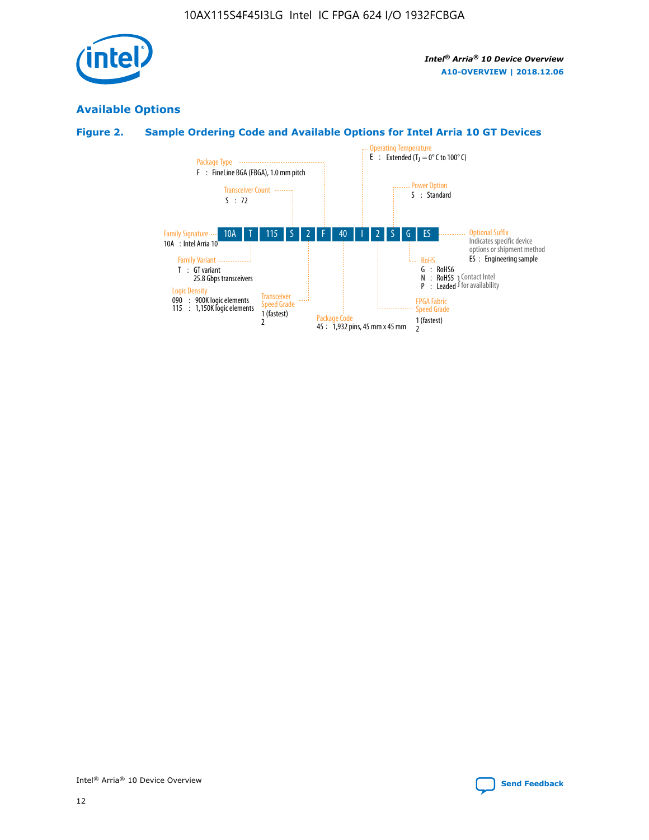

# **Available Options**

# **Figure 2. Sample Ordering Code and Available Options for Intel Arria 10 GT Devices**

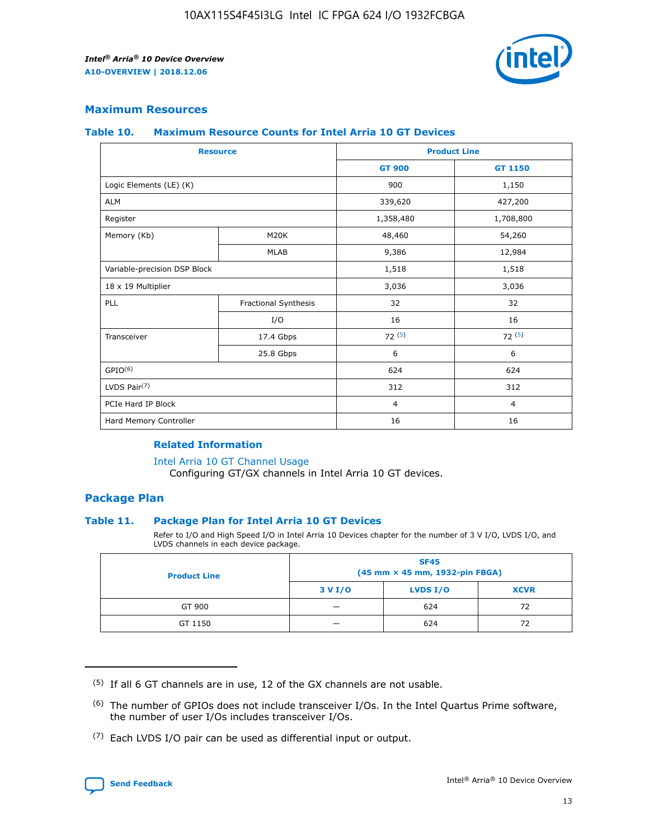

## **Maximum Resources**

#### **Table 10. Maximum Resource Counts for Intel Arria 10 GT Devices**

| <b>Resource</b>              |                      |                | <b>Product Line</b> |  |
|------------------------------|----------------------|----------------|---------------------|--|
|                              |                      | <b>GT 900</b>  | <b>GT 1150</b>      |  |
| Logic Elements (LE) (K)      |                      | 900            | 1,150               |  |
| <b>ALM</b>                   |                      | 339,620        | 427,200             |  |
| Register                     |                      | 1,358,480      | 1,708,800           |  |
| Memory (Kb)                  | M20K                 | 48,460         | 54,260              |  |
|                              | <b>MLAB</b>          | 9,386          | 12,984              |  |
| Variable-precision DSP Block |                      | 1,518          | 1,518               |  |
| 18 x 19 Multiplier           |                      | 3,036          | 3,036               |  |
| PLL                          | Fractional Synthesis | 32             | 32                  |  |
|                              | I/O                  | 16             | 16                  |  |
| Transceiver                  | 17.4 Gbps            | 72(5)          | 72(5)               |  |
|                              | 25.8 Gbps            | 6              | 6                   |  |
| GPIO <sup>(6)</sup>          |                      | 624            | 624                 |  |
| LVDS Pair $(7)$              |                      | 312            | 312                 |  |
| PCIe Hard IP Block           |                      | $\overline{4}$ | $\overline{4}$      |  |
| Hard Memory Controller       |                      | 16             | 16                  |  |

#### **Related Information**

#### [Intel Arria 10 GT Channel Usage](https://www.intel.com/content/www/us/en/programmable/documentation/nik1398707230472.html#nik1398707008178)

Configuring GT/GX channels in Intel Arria 10 GT devices.

## **Package Plan**

## **Table 11. Package Plan for Intel Arria 10 GT Devices**

Refer to I/O and High Speed I/O in Intel Arria 10 Devices chapter for the number of 3 V I/O, LVDS I/O, and LVDS channels in each device package.

| <b>Product Line</b> | <b>SF45</b><br>(45 mm × 45 mm, 1932-pin FBGA) |                 |             |  |  |  |
|---------------------|-----------------------------------------------|-----------------|-------------|--|--|--|
|                     | 3 V I/O                                       | <b>LVDS I/O</b> | <b>XCVR</b> |  |  |  |
| GT 900              |                                               | 624             | 72          |  |  |  |
| GT 1150             |                                               | 624             | 72          |  |  |  |

<sup>(7)</sup> Each LVDS I/O pair can be used as differential input or output.



 $(5)$  If all 6 GT channels are in use, 12 of the GX channels are not usable.

<sup>(6)</sup> The number of GPIOs does not include transceiver I/Os. In the Intel Quartus Prime software, the number of user I/Os includes transceiver I/Os.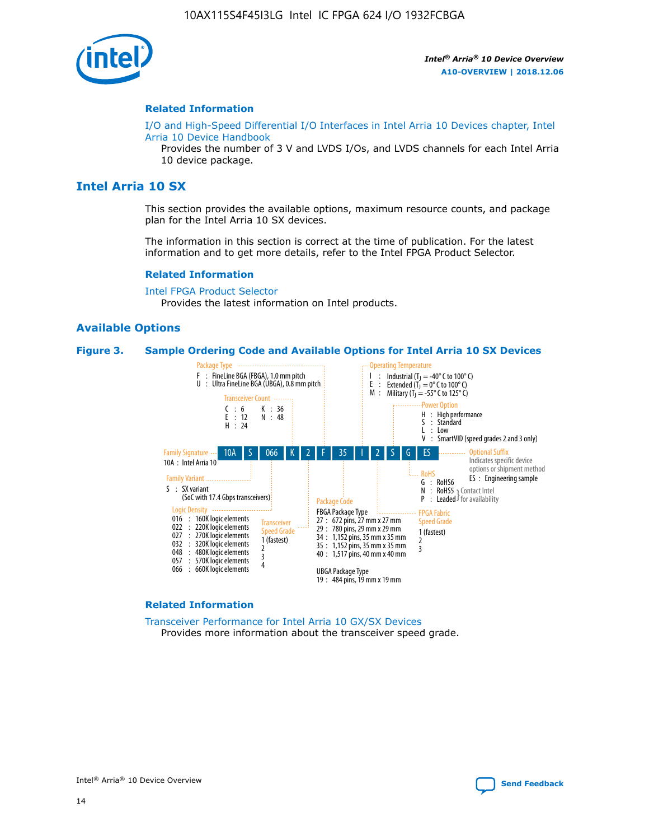

#### **Related Information**

[I/O and High-Speed Differential I/O Interfaces in Intel Arria 10 Devices chapter, Intel](https://www.intel.com/content/www/us/en/programmable/documentation/sam1403482614086.html#sam1403482030321) [Arria 10 Device Handbook](https://www.intel.com/content/www/us/en/programmable/documentation/sam1403482614086.html#sam1403482030321)

Provides the number of 3 V and LVDS I/Os, and LVDS channels for each Intel Arria 10 device package.

# **Intel Arria 10 SX**

This section provides the available options, maximum resource counts, and package plan for the Intel Arria 10 SX devices.

The information in this section is correct at the time of publication. For the latest information and to get more details, refer to the Intel FPGA Product Selector.

#### **Related Information**

[Intel FPGA Product Selector](http://www.altera.com/products/selector/psg-selector.html) Provides the latest information on Intel products.

#### **Available Options**

#### **Figure 3. Sample Ordering Code and Available Options for Intel Arria 10 SX Devices**



#### **Related Information**

[Transceiver Performance for Intel Arria 10 GX/SX Devices](https://www.intel.com/content/www/us/en/programmable/documentation/mcn1413182292568.html#mcn1413213965502) Provides more information about the transceiver speed grade.

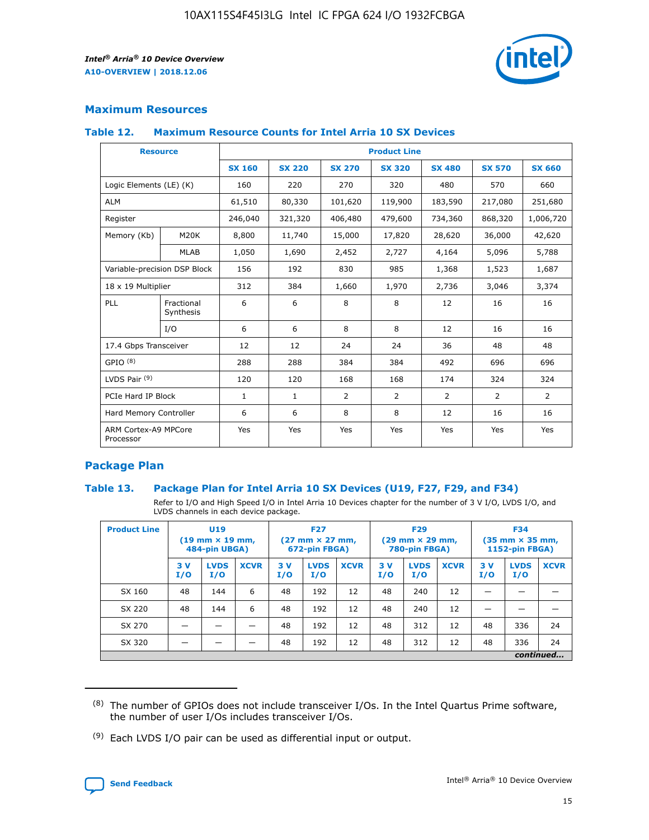

# **Maximum Resources**

#### **Table 12. Maximum Resource Counts for Intel Arria 10 SX Devices**

|                                   | <b>Resource</b>         | <b>Product Line</b> |               |                |                |                |                |                |  |  |  |
|-----------------------------------|-------------------------|---------------------|---------------|----------------|----------------|----------------|----------------|----------------|--|--|--|
|                                   |                         | <b>SX 160</b>       | <b>SX 220</b> | <b>SX 270</b>  | <b>SX 320</b>  | <b>SX 480</b>  | <b>SX 570</b>  | <b>SX 660</b>  |  |  |  |
| Logic Elements (LE) (K)           |                         | 160                 | 220           | 270            | 320            | 480            | 570            | 660            |  |  |  |
| <b>ALM</b>                        |                         | 61,510              | 80,330        | 101,620        | 119,900        | 183,590        | 217,080        | 251,680        |  |  |  |
| Register                          |                         | 246,040             | 321,320       | 406,480        | 479,600        | 734,360        | 868,320        | 1,006,720      |  |  |  |
| Memory (Kb)                       | <b>M20K</b>             | 8,800               | 11,740        | 15,000         | 17,820         | 28,620         | 36,000         | 42,620         |  |  |  |
|                                   | <b>MLAB</b>             | 1,050               | 1,690         | 2,452          | 2,727          | 4,164          | 5,096          | 5,788          |  |  |  |
| Variable-precision DSP Block      |                         | 156                 | 192           | 830            | 985            | 1,368          | 1,523          | 1,687          |  |  |  |
| 18 x 19 Multiplier                |                         | 312                 | 384           | 1,660          | 1,970          | 2,736          | 3,046          | 3,374          |  |  |  |
| <b>PLL</b>                        | Fractional<br>Synthesis | 6                   | 6             | 8              | 8              | 12             | 16             | 16             |  |  |  |
|                                   | I/O                     | 6                   | 6             | 8              | 8              | 12             | 16             | 16             |  |  |  |
| 17.4 Gbps Transceiver             |                         | 12                  | 12            | 24             | 24             | 36             | 48             | 48             |  |  |  |
| GPIO <sup>(8)</sup>               |                         | 288                 | 288           | 384            | 384            | 492            | 696            | 696            |  |  |  |
| LVDS Pair $(9)$                   |                         | 120                 | 120           | 168            | 168            | 174            | 324            | 324            |  |  |  |
| PCIe Hard IP Block                |                         | $\mathbf{1}$        | $\mathbf{1}$  | $\overline{2}$ | $\overline{2}$ | $\overline{2}$ | $\overline{2}$ | $\overline{2}$ |  |  |  |
| Hard Memory Controller            |                         | 6                   | 6             | 8              | 8              | 12             | 16             | 16             |  |  |  |
| ARM Cortex-A9 MPCore<br>Processor |                         | Yes                 | Yes           | Yes            | Yes            | Yes            | Yes            | Yes            |  |  |  |

# **Package Plan**

## **Table 13. Package Plan for Intel Arria 10 SX Devices (U19, F27, F29, and F34)**

Refer to I/O and High Speed I/O in Intel Arria 10 Devices chapter for the number of 3 V I/O, LVDS I/O, and LVDS channels in each device package.

| <b>Product Line</b> | <b>U19</b><br>$(19 \text{ mm} \times 19 \text{ mm})$<br>484-pin UBGA) |                    |             | <b>F27</b><br>$(27 \text{ mm} \times 27 \text{ mm})$<br>672-pin FBGA) |                    | <b>F29</b><br>$(29 \text{ mm} \times 29 \text{ mm})$<br>780-pin FBGA) |           |                    | <b>F34</b><br>$(35 \text{ mm} \times 35 \text{ mm})$<br><b>1152-pin FBGA)</b> |           |                    |             |
|---------------------|-----------------------------------------------------------------------|--------------------|-------------|-----------------------------------------------------------------------|--------------------|-----------------------------------------------------------------------|-----------|--------------------|-------------------------------------------------------------------------------|-----------|--------------------|-------------|
|                     | 3V<br>I/O                                                             | <b>LVDS</b><br>I/O | <b>XCVR</b> | 3V<br>I/O                                                             | <b>LVDS</b><br>I/O | <b>XCVR</b>                                                           | 3V<br>I/O | <b>LVDS</b><br>I/O | <b>XCVR</b>                                                                   | 3V<br>I/O | <b>LVDS</b><br>I/O | <b>XCVR</b> |
| SX 160              | 48                                                                    | 144                | 6           | 48                                                                    | 192                | 12                                                                    | 48        | 240                | 12                                                                            | -         |                    |             |
| SX 220              | 48                                                                    | 144                | 6           | 48                                                                    | 192                | 12                                                                    | 48        | 240                | 12                                                                            |           |                    |             |
| SX 270              |                                                                       |                    |             | 48                                                                    | 192                | 12                                                                    | 48        | 312                | 12                                                                            | 48        | 336                | 24          |
| SX 320              |                                                                       |                    |             | 48                                                                    | 192                | 12                                                                    | 48        | 312                | 12                                                                            | 48        | 336                | 24          |
|                     | continued                                                             |                    |             |                                                                       |                    |                                                                       |           |                    |                                                                               |           |                    |             |

 $(8)$  The number of GPIOs does not include transceiver I/Os. In the Intel Quartus Prime software, the number of user I/Os includes transceiver I/Os.

 $(9)$  Each LVDS I/O pair can be used as differential input or output.

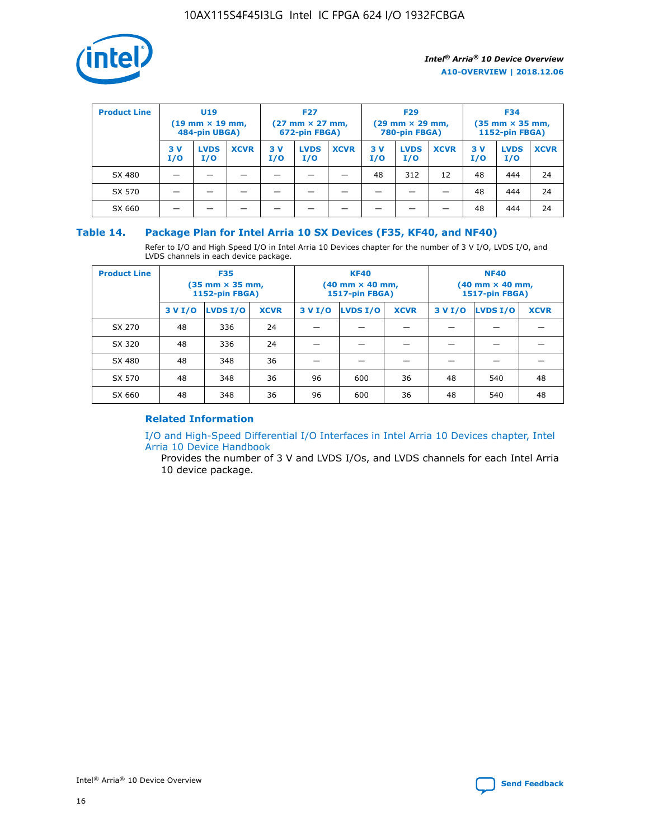

| <b>Product Line</b> | U <sub>19</sub><br>$(19$ mm $\times$ 19 mm,<br>484-pin UBGA) |                    | <b>F27</b><br>$(27 \text{ mm} \times 27 \text{ mm})$<br>672-pin FBGA) |           | <b>F29</b><br>$(29 \text{ mm} \times 29 \text{ mm})$<br>780-pin FBGA) |             |           | <b>F34</b><br>$(35$ mm $\times$ 35 mm,<br><b>1152-pin FBGA)</b> |             |           |                    |             |
|---------------------|--------------------------------------------------------------|--------------------|-----------------------------------------------------------------------|-----------|-----------------------------------------------------------------------|-------------|-----------|-----------------------------------------------------------------|-------------|-----------|--------------------|-------------|
|                     | 3 V<br>I/O                                                   | <b>LVDS</b><br>I/O | <b>XCVR</b>                                                           | 3V<br>I/O | <b>LVDS</b><br>I/O                                                    | <b>XCVR</b> | 3V<br>I/O | <b>LVDS</b><br>I/O                                              | <b>XCVR</b> | 3V<br>I/O | <b>LVDS</b><br>I/O | <b>XCVR</b> |
| SX 480              |                                                              |                    |                                                                       |           |                                                                       |             | 48        | 312                                                             | 12          | 48        | 444                | 24          |
| SX 570              |                                                              |                    |                                                                       |           |                                                                       |             |           |                                                                 |             | 48        | 444                | 24          |
| SX 660              |                                                              |                    |                                                                       |           |                                                                       |             |           |                                                                 |             | 48        | 444                | 24          |

## **Table 14. Package Plan for Intel Arria 10 SX Devices (F35, KF40, and NF40)**

Refer to I/O and High Speed I/O in Intel Arria 10 Devices chapter for the number of 3 V I/O, LVDS I/O, and LVDS channels in each device package.

| <b>Product Line</b> | <b>F35</b><br>$(35 \text{ mm} \times 35 \text{ mm})$<br><b>1152-pin FBGA)</b> |          |             |                                           | <b>KF40</b><br>(40 mm × 40 mm,<br>1517-pin FBGA) |    | <b>NF40</b><br>$(40 \text{ mm} \times 40 \text{ mm})$<br>1517-pin FBGA) |          |             |  |
|---------------------|-------------------------------------------------------------------------------|----------|-------------|-------------------------------------------|--------------------------------------------------|----|-------------------------------------------------------------------------|----------|-------------|--|
|                     | 3 V I/O                                                                       | LVDS I/O | <b>XCVR</b> | <b>LVDS I/O</b><br><b>XCVR</b><br>3 V I/O |                                                  |    | 3 V I/O                                                                 | LVDS I/O | <b>XCVR</b> |  |
| SX 270              | 48                                                                            | 336      | 24          |                                           |                                                  |    |                                                                         |          |             |  |
| SX 320              | 48                                                                            | 336      | 24          |                                           |                                                  |    |                                                                         |          |             |  |
| SX 480              | 48                                                                            | 348      | 36          |                                           |                                                  |    |                                                                         |          |             |  |
| SX 570              | 48                                                                            | 348      | 36          | 96                                        | 600                                              | 36 | 48                                                                      | 540      | 48          |  |
| SX 660              | 48                                                                            | 348      | 36          | 96                                        | 600                                              | 36 | 48                                                                      | 540      | 48          |  |

# **Related Information**

[I/O and High-Speed Differential I/O Interfaces in Intel Arria 10 Devices chapter, Intel](https://www.intel.com/content/www/us/en/programmable/documentation/sam1403482614086.html#sam1403482030321) [Arria 10 Device Handbook](https://www.intel.com/content/www/us/en/programmable/documentation/sam1403482614086.html#sam1403482030321)

Provides the number of 3 V and LVDS I/Os, and LVDS channels for each Intel Arria 10 device package.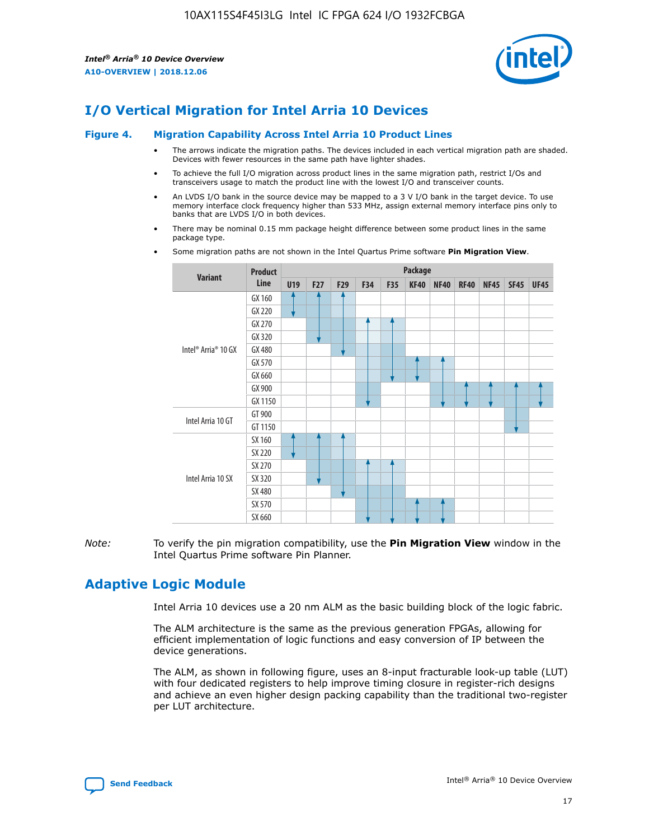

# **I/O Vertical Migration for Intel Arria 10 Devices**

#### **Figure 4. Migration Capability Across Intel Arria 10 Product Lines**

- The arrows indicate the migration paths. The devices included in each vertical migration path are shaded. Devices with fewer resources in the same path have lighter shades.
- To achieve the full I/O migration across product lines in the same migration path, restrict I/Os and transceivers usage to match the product line with the lowest I/O and transceiver counts.
- An LVDS I/O bank in the source device may be mapped to a 3 V I/O bank in the target device. To use memory interface clock frequency higher than 533 MHz, assign external memory interface pins only to banks that are LVDS I/O in both devices.
- There may be nominal 0.15 mm package height difference between some product lines in the same package type.
	- **Variant Product Line Package U19 F27 F29 F34 F35 KF40 NF40 RF40 NF45 SF45 UF45** Intel® Arria® 10 GX GX 160 GX 220 GX 270 GX 320 GX 480 GX 570 GX 660 GX 900 GX 1150 Intel Arria 10 GT GT 900 GT 1150 Intel Arria 10 SX SX 160 SX 220 SX 270 SX 320 SX 480 SX 570 SX 660
- Some migration paths are not shown in the Intel Quartus Prime software **Pin Migration View**.

*Note:* To verify the pin migration compatibility, use the **Pin Migration View** window in the Intel Quartus Prime software Pin Planner.

# **Adaptive Logic Module**

Intel Arria 10 devices use a 20 nm ALM as the basic building block of the logic fabric.

The ALM architecture is the same as the previous generation FPGAs, allowing for efficient implementation of logic functions and easy conversion of IP between the device generations.

The ALM, as shown in following figure, uses an 8-input fracturable look-up table (LUT) with four dedicated registers to help improve timing closure in register-rich designs and achieve an even higher design packing capability than the traditional two-register per LUT architecture.

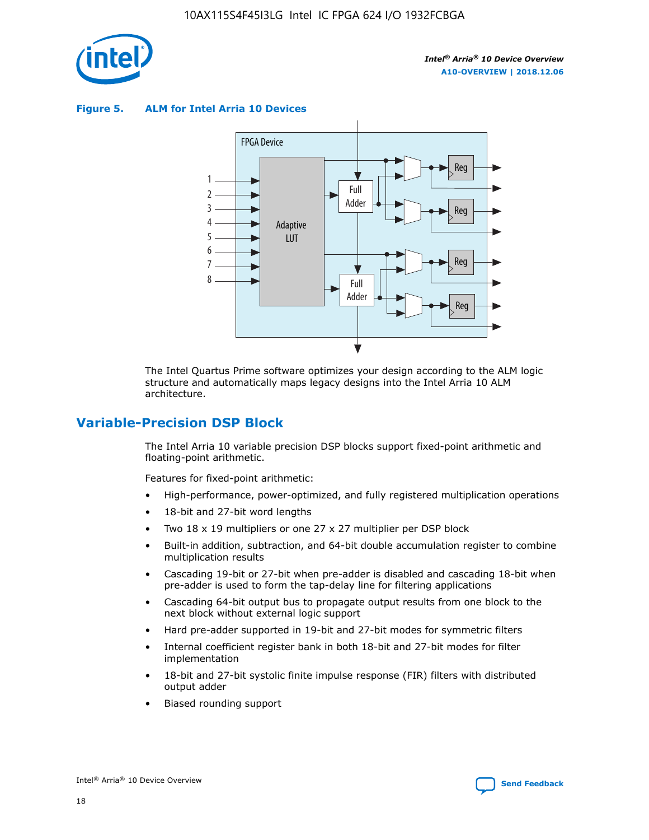

**Figure 5. ALM for Intel Arria 10 Devices**



The Intel Quartus Prime software optimizes your design according to the ALM logic structure and automatically maps legacy designs into the Intel Arria 10 ALM architecture.

# **Variable-Precision DSP Block**

The Intel Arria 10 variable precision DSP blocks support fixed-point arithmetic and floating-point arithmetic.

Features for fixed-point arithmetic:

- High-performance, power-optimized, and fully registered multiplication operations
- 18-bit and 27-bit word lengths
- Two 18 x 19 multipliers or one 27 x 27 multiplier per DSP block
- Built-in addition, subtraction, and 64-bit double accumulation register to combine multiplication results
- Cascading 19-bit or 27-bit when pre-adder is disabled and cascading 18-bit when pre-adder is used to form the tap-delay line for filtering applications
- Cascading 64-bit output bus to propagate output results from one block to the next block without external logic support
- Hard pre-adder supported in 19-bit and 27-bit modes for symmetric filters
- Internal coefficient register bank in both 18-bit and 27-bit modes for filter implementation
- 18-bit and 27-bit systolic finite impulse response (FIR) filters with distributed output adder
- Biased rounding support

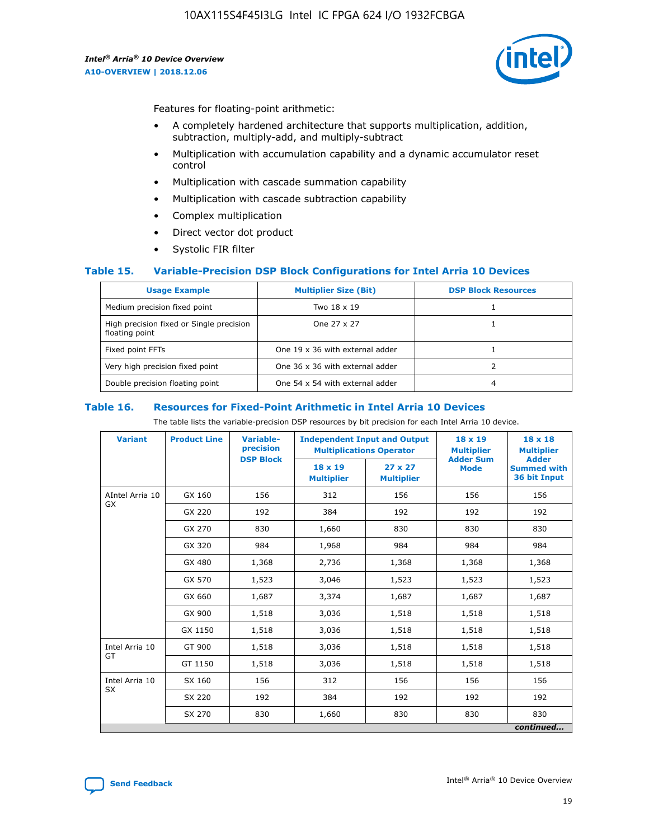

Features for floating-point arithmetic:

- A completely hardened architecture that supports multiplication, addition, subtraction, multiply-add, and multiply-subtract
- Multiplication with accumulation capability and a dynamic accumulator reset control
- Multiplication with cascade summation capability
- Multiplication with cascade subtraction capability
- Complex multiplication
- Direct vector dot product
- Systolic FIR filter

## **Table 15. Variable-Precision DSP Block Configurations for Intel Arria 10 Devices**

| <b>Usage Example</b>                                       | <b>Multiplier Size (Bit)</b>    | <b>DSP Block Resources</b> |
|------------------------------------------------------------|---------------------------------|----------------------------|
| Medium precision fixed point                               | Two 18 x 19                     |                            |
| High precision fixed or Single precision<br>floating point | One 27 x 27                     |                            |
| Fixed point FFTs                                           | One 19 x 36 with external adder |                            |
| Very high precision fixed point                            | One 36 x 36 with external adder |                            |
| Double precision floating point                            | One 54 x 54 with external adder | 4                          |

#### **Table 16. Resources for Fixed-Point Arithmetic in Intel Arria 10 Devices**

The table lists the variable-precision DSP resources by bit precision for each Intel Arria 10 device.

| <b>Variant</b>  | <b>Product Line</b> | <b>Variable-</b><br>precision<br><b>DSP Block</b> | <b>Independent Input and Output</b><br><b>Multiplications Operator</b> |                                     | 18 x 19<br><b>Multiplier</b><br><b>Adder Sum</b> | $18 \times 18$<br><b>Multiplier</b><br><b>Adder</b> |
|-----------------|---------------------|---------------------------------------------------|------------------------------------------------------------------------|-------------------------------------|--------------------------------------------------|-----------------------------------------------------|
|                 |                     |                                                   | 18 x 19<br><b>Multiplier</b>                                           | $27 \times 27$<br><b>Multiplier</b> | <b>Mode</b>                                      | <b>Summed with</b><br>36 bit Input                  |
| AIntel Arria 10 | GX 160              | 156                                               | 312                                                                    | 156                                 | 156                                              | 156                                                 |
| GX              | GX 220              | 192                                               | 384                                                                    | 192                                 | 192                                              | 192                                                 |
|                 | GX 270              | 830                                               | 1,660                                                                  | 830                                 | 830                                              | 830                                                 |
|                 | GX 320              | 984                                               | 1,968                                                                  | 984                                 | 984                                              | 984                                                 |
|                 | GX 480              | 1,368                                             | 2,736                                                                  | 1,368                               | 1,368                                            | 1,368                                               |
|                 | GX 570              | 1,523                                             | 3,046                                                                  | 1,523                               | 1,523                                            | 1,523                                               |
|                 | GX 660              | 1,687                                             | 3,374                                                                  | 1,687                               | 1,687                                            | 1,687                                               |
|                 | GX 900              | 1,518                                             | 3,036                                                                  | 1,518                               | 1,518                                            | 1,518                                               |
|                 | GX 1150             | 1,518                                             | 3,036                                                                  | 1,518                               | 1,518                                            | 1,518                                               |
| Intel Arria 10  | GT 900              | 1,518                                             | 3,036                                                                  | 1,518                               | 1,518                                            | 1,518                                               |
| GT              | GT 1150             | 1,518                                             | 3,036                                                                  | 1,518                               | 1,518                                            | 1,518                                               |
| Intel Arria 10  | SX 160              | 156                                               | 312                                                                    | 156                                 | 156                                              | 156                                                 |
| <b>SX</b>       | SX 220              | 192                                               | 384                                                                    | 192                                 | 192                                              | 192                                                 |
|                 | SX 270              | 830                                               | 1,660                                                                  | 830                                 | 830                                              | 830                                                 |
|                 |                     |                                                   |                                                                        |                                     |                                                  | continued                                           |

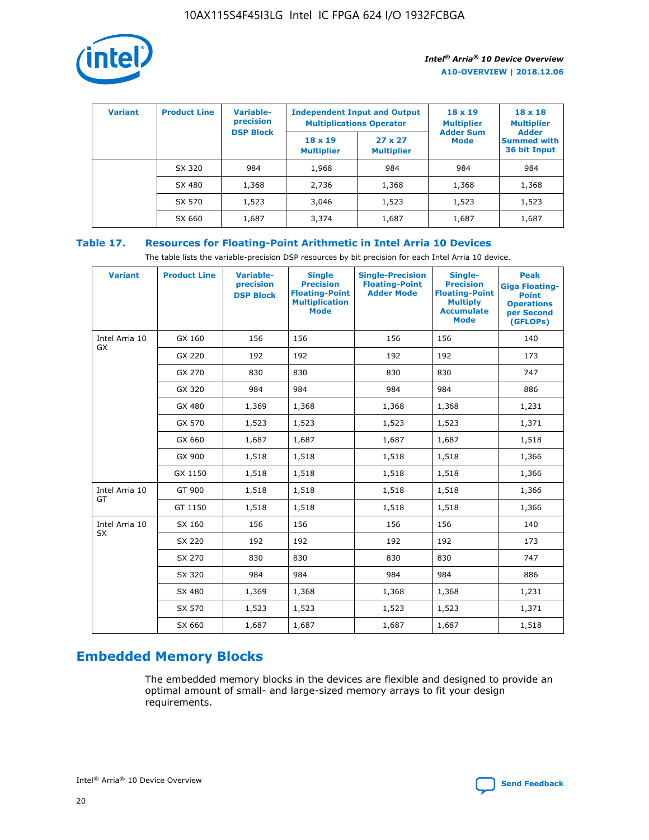

| <b>Variant</b> | <b>Product Line</b> | <b>Variable-</b><br>precision |                                     | <b>Independent Input and Output</b><br><b>Multiplications Operator</b> | $18 \times 19$<br><b>Multiplier</b> | $18 \times 18$<br><b>Multiplier</b><br><b>Adder</b> |  |
|----------------|---------------------|-------------------------------|-------------------------------------|------------------------------------------------------------------------|-------------------------------------|-----------------------------------------------------|--|
|                |                     | <b>DSP Block</b>              | $18 \times 19$<br><b>Multiplier</b> | $27 \times 27$<br><b>Multiplier</b>                                    | <b>Adder Sum</b><br><b>Mode</b>     | <b>Summed with</b><br>36 bit Input                  |  |
|                | SX 320              | 984                           | 1,968                               | 984                                                                    | 984                                 | 984                                                 |  |
|                | SX 480              | 1,368                         | 2,736                               | 1,368                                                                  | 1,368                               | 1,368                                               |  |
|                | SX 570              | 1,523                         | 3,046                               | 1,523                                                                  | 1,523                               | 1,523                                               |  |
|                | SX 660              | 1,687                         | 3,374                               | 1,687                                                                  | 1,687                               | 1,687                                               |  |

# **Table 17. Resources for Floating-Point Arithmetic in Intel Arria 10 Devices**

The table lists the variable-precision DSP resources by bit precision for each Intel Arria 10 device.

| <b>Variant</b> | <b>Product Line</b> | <b>Variable-</b><br>precision<br><b>DSP Block</b> | <b>Single</b><br><b>Precision</b><br><b>Floating-Point</b><br><b>Multiplication</b><br><b>Mode</b> | <b>Single-Precision</b><br><b>Floating-Point</b><br><b>Adder Mode</b> | Single-<br><b>Precision</b><br><b>Floating-Point</b><br><b>Multiply</b><br><b>Accumulate</b><br><b>Mode</b> | <b>Peak</b><br><b>Giga Floating-</b><br><b>Point</b><br><b>Operations</b><br>per Second<br>(GFLOPs) |
|----------------|---------------------|---------------------------------------------------|----------------------------------------------------------------------------------------------------|-----------------------------------------------------------------------|-------------------------------------------------------------------------------------------------------------|-----------------------------------------------------------------------------------------------------|
| Intel Arria 10 | GX 160              | 156                                               | 156                                                                                                | 156                                                                   | 156                                                                                                         | 140                                                                                                 |
| GX             | GX 220              | 192                                               | 192                                                                                                | 192                                                                   | 192                                                                                                         | 173                                                                                                 |
|                | GX 270              | 830                                               | 830                                                                                                | 830                                                                   | 830                                                                                                         | 747                                                                                                 |
|                | GX 320              | 984                                               | 984                                                                                                | 984                                                                   | 984                                                                                                         | 886                                                                                                 |
|                | GX 480              | 1,369                                             | 1,368                                                                                              | 1,368                                                                 | 1,368                                                                                                       | 1,231                                                                                               |
|                | GX 570              | 1,523                                             | 1,523                                                                                              | 1,523                                                                 | 1,523                                                                                                       | 1,371                                                                                               |
|                | GX 660              | 1,687                                             | 1,687                                                                                              | 1,687                                                                 | 1,687                                                                                                       | 1,518                                                                                               |
|                | GX 900              | 1,518                                             | 1,518                                                                                              | 1,518                                                                 | 1,518                                                                                                       | 1,366                                                                                               |
|                | GX 1150             | 1,518                                             | 1,518                                                                                              | 1,518                                                                 | 1,518                                                                                                       | 1,366                                                                                               |
| Intel Arria 10 | GT 900              | 1,518                                             | 1,518                                                                                              | 1,518                                                                 | 1,518                                                                                                       | 1,366                                                                                               |
| GT             | GT 1150             | 1,518                                             | 1,518                                                                                              | 1,518                                                                 | 1,518                                                                                                       | 1,366                                                                                               |
| Intel Arria 10 | SX 160              | 156                                               | 156                                                                                                | 156                                                                   | 156                                                                                                         | 140                                                                                                 |
| SX             | SX 220              | 192                                               | 192                                                                                                | 192                                                                   | 192                                                                                                         | 173                                                                                                 |
|                | SX 270              | 830                                               | 830                                                                                                | 830                                                                   | 830                                                                                                         | 747                                                                                                 |
|                | SX 320              | 984                                               | 984                                                                                                | 984                                                                   | 984                                                                                                         | 886                                                                                                 |
|                | SX 480              | 1,369                                             | 1,368                                                                                              | 1,368                                                                 | 1,368                                                                                                       | 1,231                                                                                               |
|                | SX 570              | 1,523                                             | 1,523                                                                                              | 1,523                                                                 | 1,523                                                                                                       | 1,371                                                                                               |
|                | SX 660              | 1,687                                             | 1,687                                                                                              | 1,687                                                                 | 1,687                                                                                                       | 1,518                                                                                               |

# **Embedded Memory Blocks**

The embedded memory blocks in the devices are flexible and designed to provide an optimal amount of small- and large-sized memory arrays to fit your design requirements.

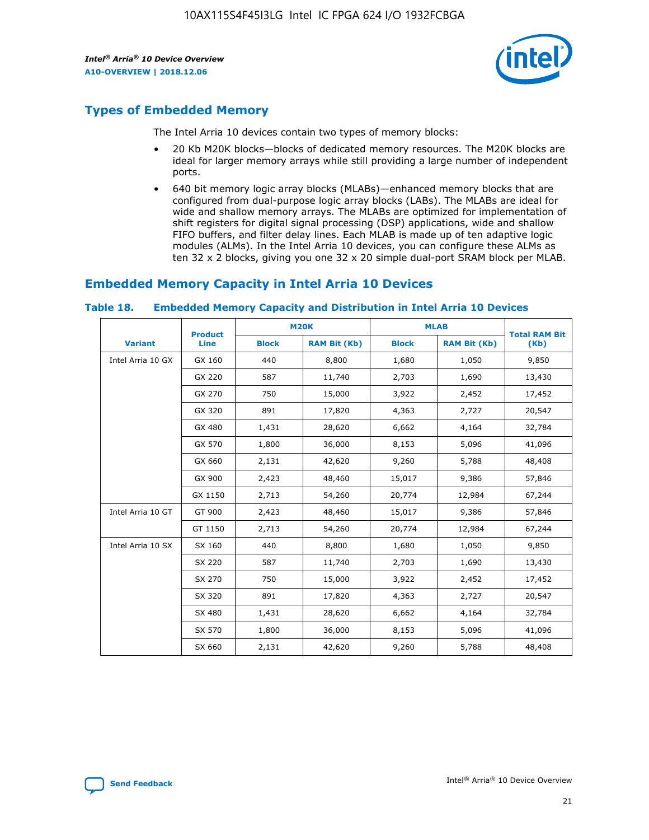

# **Types of Embedded Memory**

The Intel Arria 10 devices contain two types of memory blocks:

- 20 Kb M20K blocks—blocks of dedicated memory resources. The M20K blocks are ideal for larger memory arrays while still providing a large number of independent ports.
- 640 bit memory logic array blocks (MLABs)—enhanced memory blocks that are configured from dual-purpose logic array blocks (LABs). The MLABs are ideal for wide and shallow memory arrays. The MLABs are optimized for implementation of shift registers for digital signal processing (DSP) applications, wide and shallow FIFO buffers, and filter delay lines. Each MLAB is made up of ten adaptive logic modules (ALMs). In the Intel Arria 10 devices, you can configure these ALMs as ten 32 x 2 blocks, giving you one 32 x 20 simple dual-port SRAM block per MLAB.

# **Embedded Memory Capacity in Intel Arria 10 Devices**

|                   | <b>Product</b> | <b>M20K</b>  |                     | <b>MLAB</b>  |                     | <b>Total RAM Bit</b> |
|-------------------|----------------|--------------|---------------------|--------------|---------------------|----------------------|
| <b>Variant</b>    | <b>Line</b>    | <b>Block</b> | <b>RAM Bit (Kb)</b> | <b>Block</b> | <b>RAM Bit (Kb)</b> | (Kb)                 |
| Intel Arria 10 GX | GX 160         | 440          | 8,800               | 1,680        | 1,050               | 9,850                |
|                   | GX 220         | 587          | 11,740              | 2,703        | 1,690               | 13,430               |
|                   | GX 270         | 750          | 15,000              | 3,922        | 2,452               | 17,452               |
|                   | GX 320         | 891          | 17,820              | 4,363        | 2,727               | 20,547               |
|                   | GX 480         | 1,431        | 28,620              | 6,662        | 4,164               | 32,784               |
|                   | GX 570         | 1,800        | 36,000              | 8,153        | 5,096               | 41,096               |
|                   | GX 660         | 2,131        | 42,620              | 9,260        | 5,788               | 48,408               |
|                   | GX 900         | 2,423        | 48,460              | 15,017       | 9,386               | 57,846               |
|                   | GX 1150        | 2,713        | 54,260              | 20,774       | 12,984              | 67,244               |
| Intel Arria 10 GT | GT 900         | 2,423        | 48,460              | 15,017       | 9,386               | 57,846               |
|                   | GT 1150        | 2,713        | 54,260              | 20,774       | 12,984              | 67,244               |
| Intel Arria 10 SX | SX 160         | 440          | 8,800               | 1,680        | 1,050               | 9,850                |
|                   | SX 220         | 587          | 11,740              | 2,703        | 1,690               | 13,430               |
|                   | SX 270         | 750          | 15,000              | 3,922        | 2,452               | 17,452               |
|                   | SX 320         | 891          | 17,820              | 4,363        | 2,727               | 20,547               |
|                   | SX 480         | 1,431        | 28,620              | 6,662        | 4,164               | 32,784               |
|                   | SX 570         | 1,800        | 36,000              | 8,153        | 5,096               | 41,096               |
|                   | SX 660         | 2,131        | 42,620              | 9,260        | 5,788               | 48,408               |

#### **Table 18. Embedded Memory Capacity and Distribution in Intel Arria 10 Devices**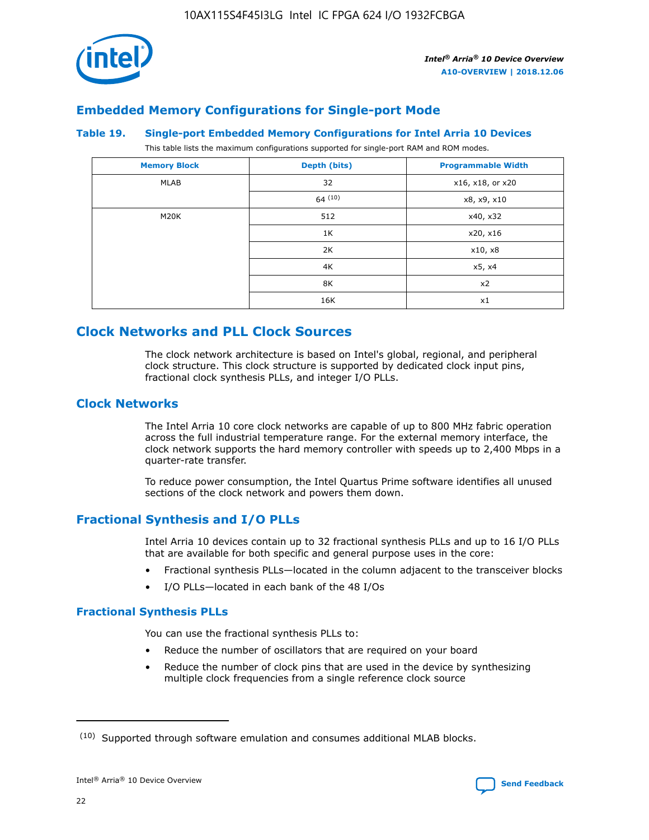

# **Embedded Memory Configurations for Single-port Mode**

#### **Table 19. Single-port Embedded Memory Configurations for Intel Arria 10 Devices**

This table lists the maximum configurations supported for single-port RAM and ROM modes.

| <b>Memory Block</b> | Depth (bits) | <b>Programmable Width</b> |
|---------------------|--------------|---------------------------|
| MLAB                | 32           | x16, x18, or x20          |
|                     | 64(10)       | x8, x9, x10               |
| M20K                | 512          | x40, x32                  |
|                     | 1K           | x20, x16                  |
|                     | 2K           | x10, x8                   |
|                     | 4K           | x5, x4                    |
|                     | 8K           | x2                        |
|                     | 16K          | x1                        |

# **Clock Networks and PLL Clock Sources**

The clock network architecture is based on Intel's global, regional, and peripheral clock structure. This clock structure is supported by dedicated clock input pins, fractional clock synthesis PLLs, and integer I/O PLLs.

# **Clock Networks**

The Intel Arria 10 core clock networks are capable of up to 800 MHz fabric operation across the full industrial temperature range. For the external memory interface, the clock network supports the hard memory controller with speeds up to 2,400 Mbps in a quarter-rate transfer.

To reduce power consumption, the Intel Quartus Prime software identifies all unused sections of the clock network and powers them down.

# **Fractional Synthesis and I/O PLLs**

Intel Arria 10 devices contain up to 32 fractional synthesis PLLs and up to 16 I/O PLLs that are available for both specific and general purpose uses in the core:

- Fractional synthesis PLLs—located in the column adjacent to the transceiver blocks
- I/O PLLs—located in each bank of the 48 I/Os

# **Fractional Synthesis PLLs**

You can use the fractional synthesis PLLs to:

- Reduce the number of oscillators that are required on your board
- Reduce the number of clock pins that are used in the device by synthesizing multiple clock frequencies from a single reference clock source

<sup>(10)</sup> Supported through software emulation and consumes additional MLAB blocks.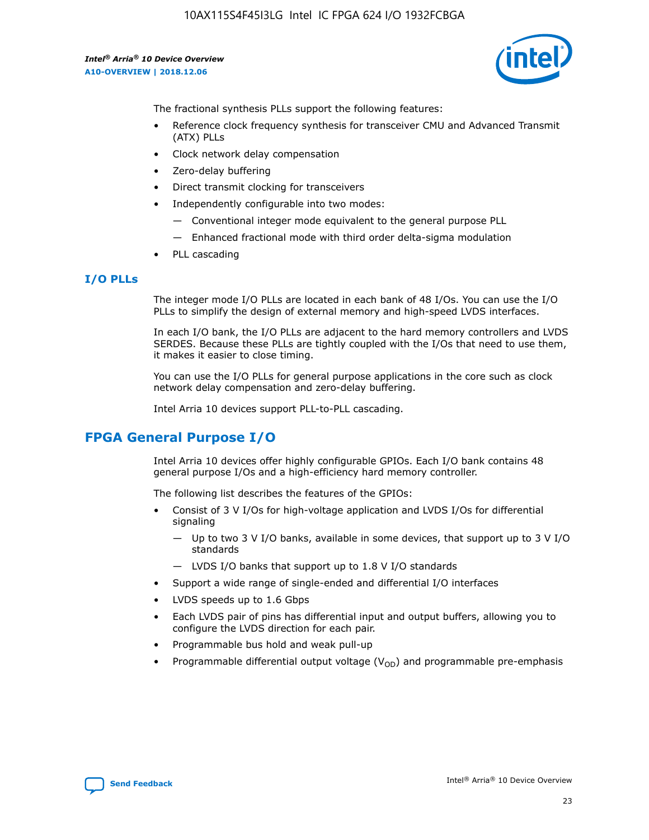

The fractional synthesis PLLs support the following features:

- Reference clock frequency synthesis for transceiver CMU and Advanced Transmit (ATX) PLLs
- Clock network delay compensation
- Zero-delay buffering
- Direct transmit clocking for transceivers
- Independently configurable into two modes:
	- Conventional integer mode equivalent to the general purpose PLL
	- Enhanced fractional mode with third order delta-sigma modulation
- PLL cascading

## **I/O PLLs**

The integer mode I/O PLLs are located in each bank of 48 I/Os. You can use the I/O PLLs to simplify the design of external memory and high-speed LVDS interfaces.

In each I/O bank, the I/O PLLs are adjacent to the hard memory controllers and LVDS SERDES. Because these PLLs are tightly coupled with the I/Os that need to use them, it makes it easier to close timing.

You can use the I/O PLLs for general purpose applications in the core such as clock network delay compensation and zero-delay buffering.

Intel Arria 10 devices support PLL-to-PLL cascading.

# **FPGA General Purpose I/O**

Intel Arria 10 devices offer highly configurable GPIOs. Each I/O bank contains 48 general purpose I/Os and a high-efficiency hard memory controller.

The following list describes the features of the GPIOs:

- Consist of 3 V I/Os for high-voltage application and LVDS I/Os for differential signaling
	- Up to two 3 V I/O banks, available in some devices, that support up to 3 V I/O standards
	- LVDS I/O banks that support up to 1.8 V I/O standards
- Support a wide range of single-ended and differential I/O interfaces
- LVDS speeds up to 1.6 Gbps
- Each LVDS pair of pins has differential input and output buffers, allowing you to configure the LVDS direction for each pair.
- Programmable bus hold and weak pull-up
- Programmable differential output voltage  $(V_{OD})$  and programmable pre-emphasis

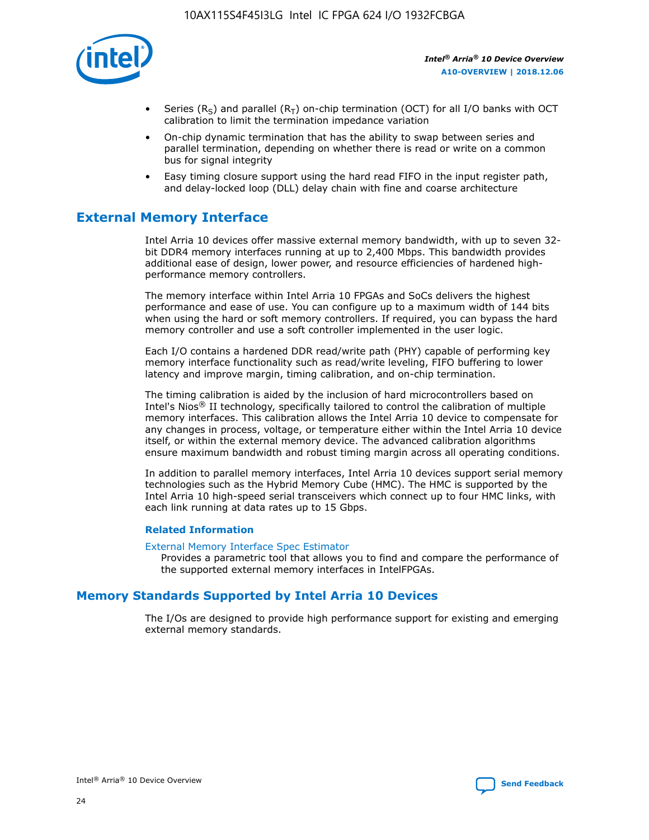

- Series (R<sub>S</sub>) and parallel (R<sub>T</sub>) on-chip termination (OCT) for all I/O banks with OCT calibration to limit the termination impedance variation
- On-chip dynamic termination that has the ability to swap between series and parallel termination, depending on whether there is read or write on a common bus for signal integrity
- Easy timing closure support using the hard read FIFO in the input register path, and delay-locked loop (DLL) delay chain with fine and coarse architecture

# **External Memory Interface**

Intel Arria 10 devices offer massive external memory bandwidth, with up to seven 32 bit DDR4 memory interfaces running at up to 2,400 Mbps. This bandwidth provides additional ease of design, lower power, and resource efficiencies of hardened highperformance memory controllers.

The memory interface within Intel Arria 10 FPGAs and SoCs delivers the highest performance and ease of use. You can configure up to a maximum width of 144 bits when using the hard or soft memory controllers. If required, you can bypass the hard memory controller and use a soft controller implemented in the user logic.

Each I/O contains a hardened DDR read/write path (PHY) capable of performing key memory interface functionality such as read/write leveling, FIFO buffering to lower latency and improve margin, timing calibration, and on-chip termination.

The timing calibration is aided by the inclusion of hard microcontrollers based on Intel's Nios® II technology, specifically tailored to control the calibration of multiple memory interfaces. This calibration allows the Intel Arria 10 device to compensate for any changes in process, voltage, or temperature either within the Intel Arria 10 device itself, or within the external memory device. The advanced calibration algorithms ensure maximum bandwidth and robust timing margin across all operating conditions.

In addition to parallel memory interfaces, Intel Arria 10 devices support serial memory technologies such as the Hybrid Memory Cube (HMC). The HMC is supported by the Intel Arria 10 high-speed serial transceivers which connect up to four HMC links, with each link running at data rates up to 15 Gbps.

## **Related Information**

#### [External Memory Interface Spec Estimator](http://www.altera.com/technology/memory/estimator/mem-emif-index.html)

Provides a parametric tool that allows you to find and compare the performance of the supported external memory interfaces in IntelFPGAs.

# **Memory Standards Supported by Intel Arria 10 Devices**

The I/Os are designed to provide high performance support for existing and emerging external memory standards.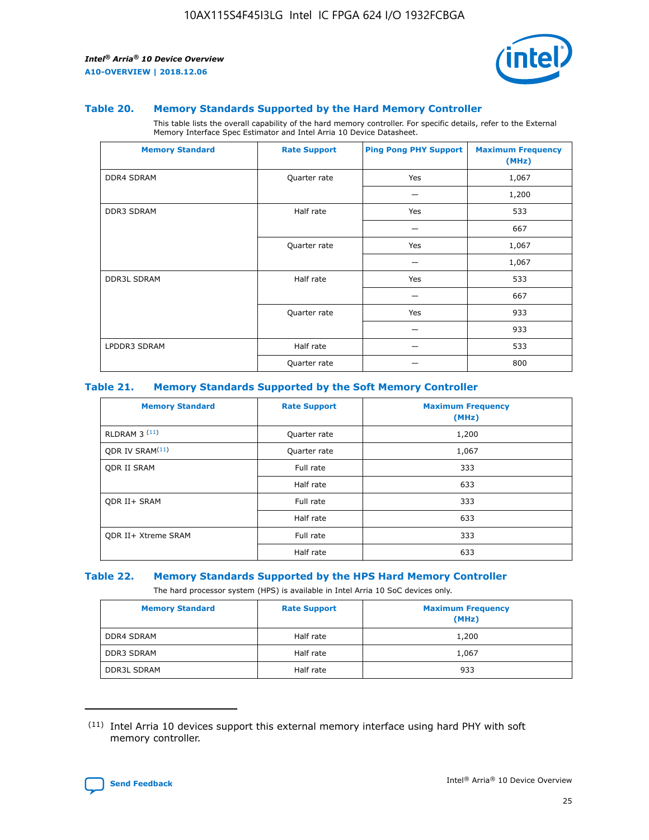

#### **Table 20. Memory Standards Supported by the Hard Memory Controller**

This table lists the overall capability of the hard memory controller. For specific details, refer to the External Memory Interface Spec Estimator and Intel Arria 10 Device Datasheet.

| <b>Memory Standard</b> | <b>Rate Support</b> | <b>Ping Pong PHY Support</b> | <b>Maximum Frequency</b><br>(MHz) |
|------------------------|---------------------|------------------------------|-----------------------------------|
| <b>DDR4 SDRAM</b>      | Quarter rate        | Yes                          | 1,067                             |
|                        |                     |                              | 1,200                             |
| DDR3 SDRAM             | Half rate           | Yes                          | 533                               |
|                        |                     |                              | 667                               |
|                        | Quarter rate        | Yes                          | 1,067                             |
|                        |                     |                              | 1,067                             |
| <b>DDR3L SDRAM</b>     | Half rate           | Yes                          | 533                               |
|                        |                     |                              | 667                               |
|                        | Quarter rate        | Yes                          | 933                               |
|                        |                     |                              | 933                               |
| LPDDR3 SDRAM           | Half rate           |                              | 533                               |
|                        | Quarter rate        |                              | 800                               |

#### **Table 21. Memory Standards Supported by the Soft Memory Controller**

| <b>Memory Standard</b>      | <b>Rate Support</b> | <b>Maximum Frequency</b><br>(MHz) |
|-----------------------------|---------------------|-----------------------------------|
| <b>RLDRAM 3 (11)</b>        | Quarter rate        | 1,200                             |
| ODR IV SRAM <sup>(11)</sup> | Quarter rate        | 1,067                             |
| <b>ODR II SRAM</b>          | Full rate           | 333                               |
|                             | Half rate           | 633                               |
| <b>ODR II+ SRAM</b>         | Full rate           | 333                               |
|                             | Half rate           | 633                               |
| <b>ODR II+ Xtreme SRAM</b>  | Full rate           | 333                               |
|                             | Half rate           | 633                               |

#### **Table 22. Memory Standards Supported by the HPS Hard Memory Controller**

The hard processor system (HPS) is available in Intel Arria 10 SoC devices only.

| <b>Memory Standard</b> | <b>Rate Support</b> | <b>Maximum Frequency</b><br>(MHz) |
|------------------------|---------------------|-----------------------------------|
| <b>DDR4 SDRAM</b>      | Half rate           | 1,200                             |
| <b>DDR3 SDRAM</b>      | Half rate           | 1,067                             |
| <b>DDR3L SDRAM</b>     | Half rate           | 933                               |

<sup>(11)</sup> Intel Arria 10 devices support this external memory interface using hard PHY with soft memory controller.

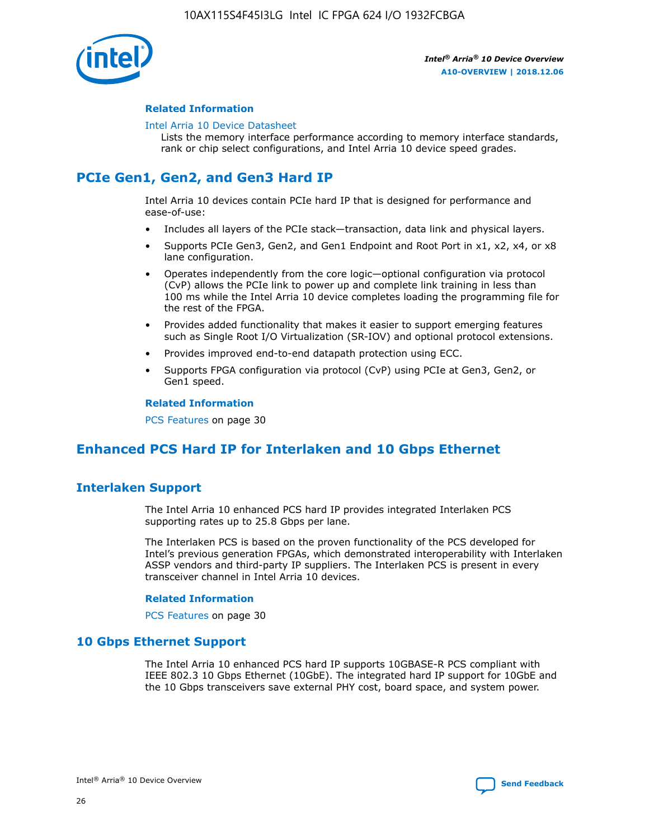

## **Related Information**

#### [Intel Arria 10 Device Datasheet](https://www.intel.com/content/www/us/en/programmable/documentation/mcn1413182292568.html#mcn1413182153340)

Lists the memory interface performance according to memory interface standards, rank or chip select configurations, and Intel Arria 10 device speed grades.

# **PCIe Gen1, Gen2, and Gen3 Hard IP**

Intel Arria 10 devices contain PCIe hard IP that is designed for performance and ease-of-use:

- Includes all layers of the PCIe stack—transaction, data link and physical layers.
- Supports PCIe Gen3, Gen2, and Gen1 Endpoint and Root Port in x1, x2, x4, or x8 lane configuration.
- Operates independently from the core logic—optional configuration via protocol (CvP) allows the PCIe link to power up and complete link training in less than 100 ms while the Intel Arria 10 device completes loading the programming file for the rest of the FPGA.
- Provides added functionality that makes it easier to support emerging features such as Single Root I/O Virtualization (SR-IOV) and optional protocol extensions.
- Provides improved end-to-end datapath protection using ECC.
- Supports FPGA configuration via protocol (CvP) using PCIe at Gen3, Gen2, or Gen1 speed.

#### **Related Information**

PCS Features on page 30

# **Enhanced PCS Hard IP for Interlaken and 10 Gbps Ethernet**

# **Interlaken Support**

The Intel Arria 10 enhanced PCS hard IP provides integrated Interlaken PCS supporting rates up to 25.8 Gbps per lane.

The Interlaken PCS is based on the proven functionality of the PCS developed for Intel's previous generation FPGAs, which demonstrated interoperability with Interlaken ASSP vendors and third-party IP suppliers. The Interlaken PCS is present in every transceiver channel in Intel Arria 10 devices.

## **Related Information**

PCS Features on page 30

# **10 Gbps Ethernet Support**

The Intel Arria 10 enhanced PCS hard IP supports 10GBASE-R PCS compliant with IEEE 802.3 10 Gbps Ethernet (10GbE). The integrated hard IP support for 10GbE and the 10 Gbps transceivers save external PHY cost, board space, and system power.

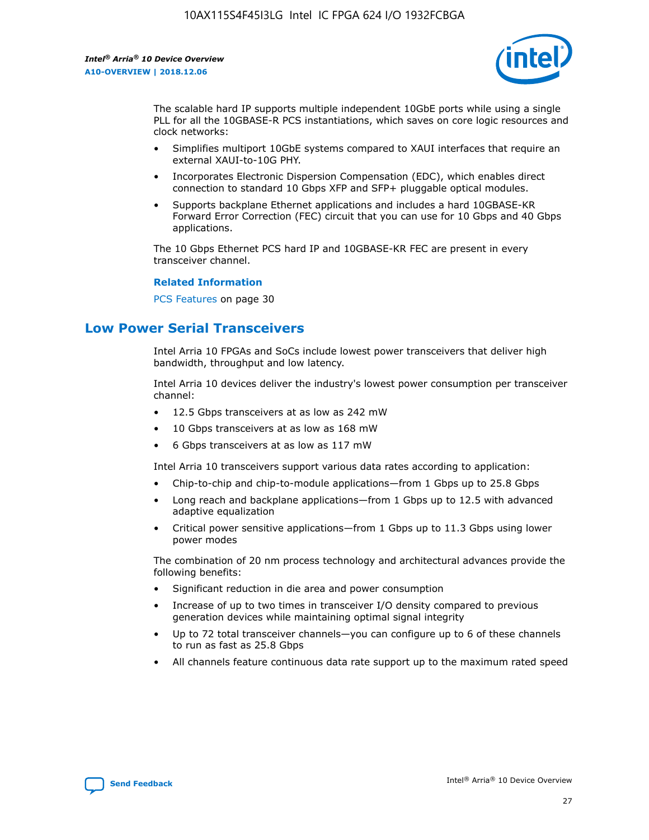

The scalable hard IP supports multiple independent 10GbE ports while using a single PLL for all the 10GBASE-R PCS instantiations, which saves on core logic resources and clock networks:

- Simplifies multiport 10GbE systems compared to XAUI interfaces that require an external XAUI-to-10G PHY.
- Incorporates Electronic Dispersion Compensation (EDC), which enables direct connection to standard 10 Gbps XFP and SFP+ pluggable optical modules.
- Supports backplane Ethernet applications and includes a hard 10GBASE-KR Forward Error Correction (FEC) circuit that you can use for 10 Gbps and 40 Gbps applications.

The 10 Gbps Ethernet PCS hard IP and 10GBASE-KR FEC are present in every transceiver channel.

#### **Related Information**

PCS Features on page 30

# **Low Power Serial Transceivers**

Intel Arria 10 FPGAs and SoCs include lowest power transceivers that deliver high bandwidth, throughput and low latency.

Intel Arria 10 devices deliver the industry's lowest power consumption per transceiver channel:

- 12.5 Gbps transceivers at as low as 242 mW
- 10 Gbps transceivers at as low as 168 mW
- 6 Gbps transceivers at as low as 117 mW

Intel Arria 10 transceivers support various data rates according to application:

- Chip-to-chip and chip-to-module applications—from 1 Gbps up to 25.8 Gbps
- Long reach and backplane applications—from 1 Gbps up to 12.5 with advanced adaptive equalization
- Critical power sensitive applications—from 1 Gbps up to 11.3 Gbps using lower power modes

The combination of 20 nm process technology and architectural advances provide the following benefits:

- Significant reduction in die area and power consumption
- Increase of up to two times in transceiver I/O density compared to previous generation devices while maintaining optimal signal integrity
- Up to 72 total transceiver channels—you can configure up to 6 of these channels to run as fast as 25.8 Gbps
- All channels feature continuous data rate support up to the maximum rated speed

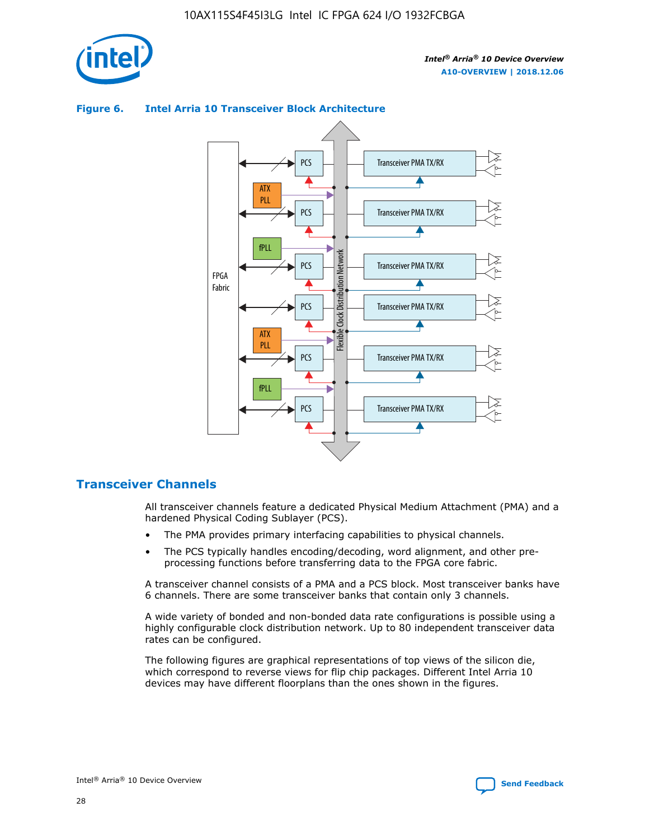



## **Figure 6. Intel Arria 10 Transceiver Block Architecture**

# **Transceiver Channels**

All transceiver channels feature a dedicated Physical Medium Attachment (PMA) and a hardened Physical Coding Sublayer (PCS).

- The PMA provides primary interfacing capabilities to physical channels.
- The PCS typically handles encoding/decoding, word alignment, and other preprocessing functions before transferring data to the FPGA core fabric.

A transceiver channel consists of a PMA and a PCS block. Most transceiver banks have 6 channels. There are some transceiver banks that contain only 3 channels.

A wide variety of bonded and non-bonded data rate configurations is possible using a highly configurable clock distribution network. Up to 80 independent transceiver data rates can be configured.

The following figures are graphical representations of top views of the silicon die, which correspond to reverse views for flip chip packages. Different Intel Arria 10 devices may have different floorplans than the ones shown in the figures.

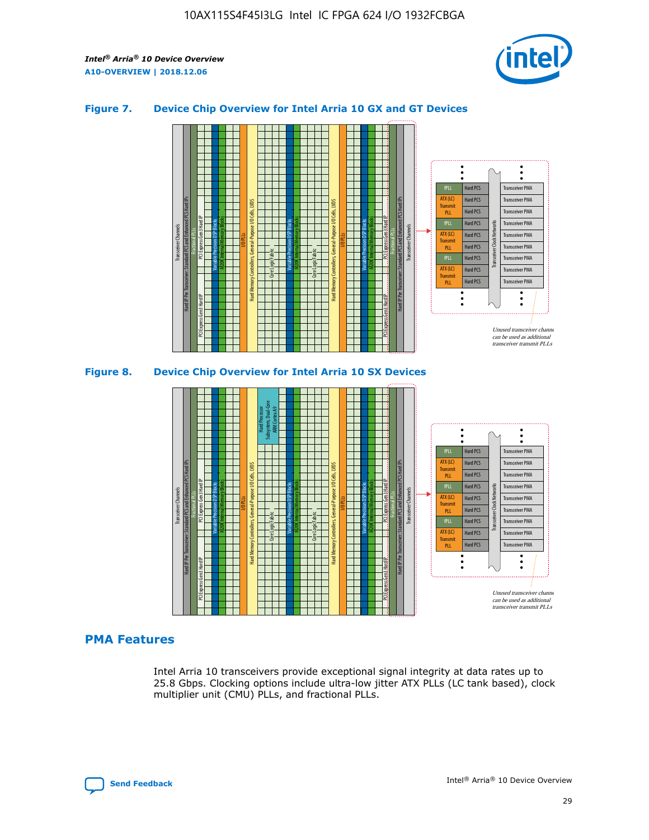

## **Figure 7. Device Chip Overview for Intel Arria 10 GX and GT Devices**



M20K Internal Memory Blocks Core Logic Fabric Transceiver Channels Hard IP Per Transceiver: Standard PCS and Enhanced PCS Hard IPs PCI Express Gen3 Hard IP Fractional PLLs M20K Internal Memory Blocks PCI Express Gen3 Hard IP Variable Precision DSP Blocks I/O PLLs Hard Memory Controllers, General-Purpose I/O Cells, LVDS Hard Processor Subsystem, Dual-Core ARM Cortex A9 M20K Internal Memory Blocks Variable Precision DSP Blocks M20K Internal Memory Blocks Core Logic Fabric I/O PLLs Hard Memory Controllers, General-Purpose I/O Cells, LVDS M20K Internal Memory Blocks Variable Precision DSP Blocks M20K Internal Memory Blocks Transceiver Channels Hard IP Per Transceiver: Standard PCS and Enhanced PCS Hard IPs PCI Express Gen3 Hard IP Fractional PLLs PCI Express Gen3 Hard IP Hard PCS Hard PCS Hard PCS Hard PCS Hard PCS Hard PCS Hard PCS Hard PCS Transceiver PMA Transceiver PMA Transceiver PMA Transceiver PMA Transceiver PMA Transceiver PMA Unused transceiver chann can be used as additional transceiver transmit PLLs Transceiver PMA Transceiver PMA Transceiver Clock Networks ATX (LC) **Transmit** PLL fPLL ATX (LC) Transmi PLL fPLL ATX (LC) **Transmit** PLL

# **PMA Features**

Intel Arria 10 transceivers provide exceptional signal integrity at data rates up to 25.8 Gbps. Clocking options include ultra-low jitter ATX PLLs (LC tank based), clock multiplier unit (CMU) PLLs, and fractional PLLs.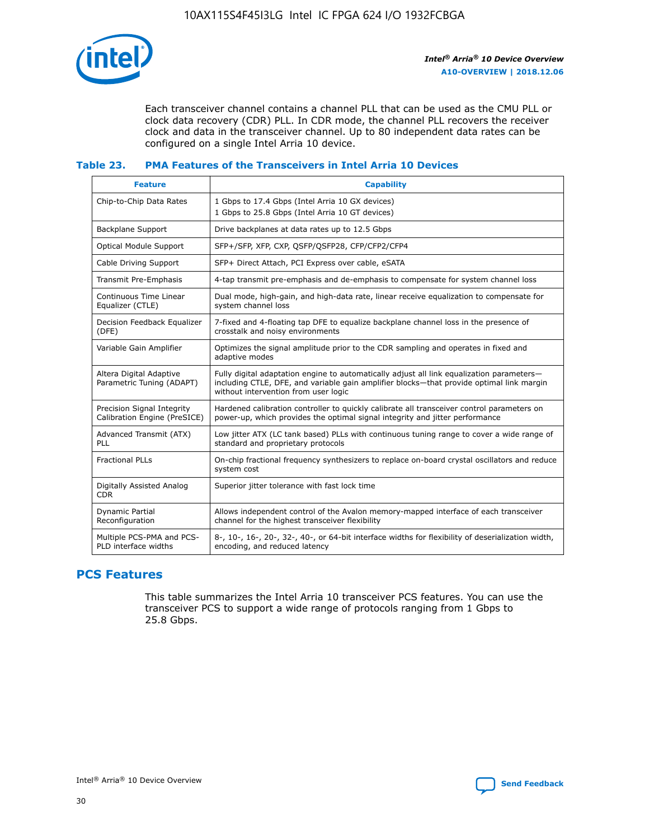

Each transceiver channel contains a channel PLL that can be used as the CMU PLL or clock data recovery (CDR) PLL. In CDR mode, the channel PLL recovers the receiver clock and data in the transceiver channel. Up to 80 independent data rates can be configured on a single Intel Arria 10 device.

# **Table 23. PMA Features of the Transceivers in Intel Arria 10 Devices**

| <b>Feature</b>                                             | <b>Capability</b>                                                                                                                                                                                                             |
|------------------------------------------------------------|-------------------------------------------------------------------------------------------------------------------------------------------------------------------------------------------------------------------------------|
| Chip-to-Chip Data Rates                                    | 1 Gbps to 17.4 Gbps (Intel Arria 10 GX devices)<br>1 Gbps to 25.8 Gbps (Intel Arria 10 GT devices)                                                                                                                            |
| Backplane Support                                          | Drive backplanes at data rates up to 12.5 Gbps                                                                                                                                                                                |
| <b>Optical Module Support</b>                              | SFP+/SFP, XFP, CXP, QSFP/QSFP28, CFP/CFP2/CFP4                                                                                                                                                                                |
| Cable Driving Support                                      | SFP+ Direct Attach, PCI Express over cable, eSATA                                                                                                                                                                             |
| Transmit Pre-Emphasis                                      | 4-tap transmit pre-emphasis and de-emphasis to compensate for system channel loss                                                                                                                                             |
| Continuous Time Linear<br>Equalizer (CTLE)                 | Dual mode, high-gain, and high-data rate, linear receive equalization to compensate for<br>system channel loss                                                                                                                |
| Decision Feedback Equalizer<br>(DFE)                       | 7-fixed and 4-floating tap DFE to equalize backplane channel loss in the presence of<br>crosstalk and noisy environments                                                                                                      |
| Variable Gain Amplifier                                    | Optimizes the signal amplitude prior to the CDR sampling and operates in fixed and<br>adaptive modes                                                                                                                          |
| Altera Digital Adaptive<br>Parametric Tuning (ADAPT)       | Fully digital adaptation engine to automatically adjust all link equalization parameters-<br>including CTLE, DFE, and variable gain amplifier blocks—that provide optimal link margin<br>without intervention from user logic |
| Precision Signal Integrity<br>Calibration Engine (PreSICE) | Hardened calibration controller to quickly calibrate all transceiver control parameters on<br>power-up, which provides the optimal signal integrity and jitter performance                                                    |
| Advanced Transmit (ATX)<br>PLL                             | Low jitter ATX (LC tank based) PLLs with continuous tuning range to cover a wide range of<br>standard and proprietary protocols                                                                                               |
| <b>Fractional PLLs</b>                                     | On-chip fractional frequency synthesizers to replace on-board crystal oscillators and reduce<br>system cost                                                                                                                   |
| Digitally Assisted Analog<br><b>CDR</b>                    | Superior jitter tolerance with fast lock time                                                                                                                                                                                 |
| <b>Dynamic Partial</b><br>Reconfiguration                  | Allows independent control of the Avalon memory-mapped interface of each transceiver<br>channel for the highest transceiver flexibility                                                                                       |
| Multiple PCS-PMA and PCS-<br>PLD interface widths          | 8-, 10-, 16-, 20-, 32-, 40-, or 64-bit interface widths for flexibility of deserialization width,<br>encoding, and reduced latency                                                                                            |

# **PCS Features**

This table summarizes the Intel Arria 10 transceiver PCS features. You can use the transceiver PCS to support a wide range of protocols ranging from 1 Gbps to 25.8 Gbps.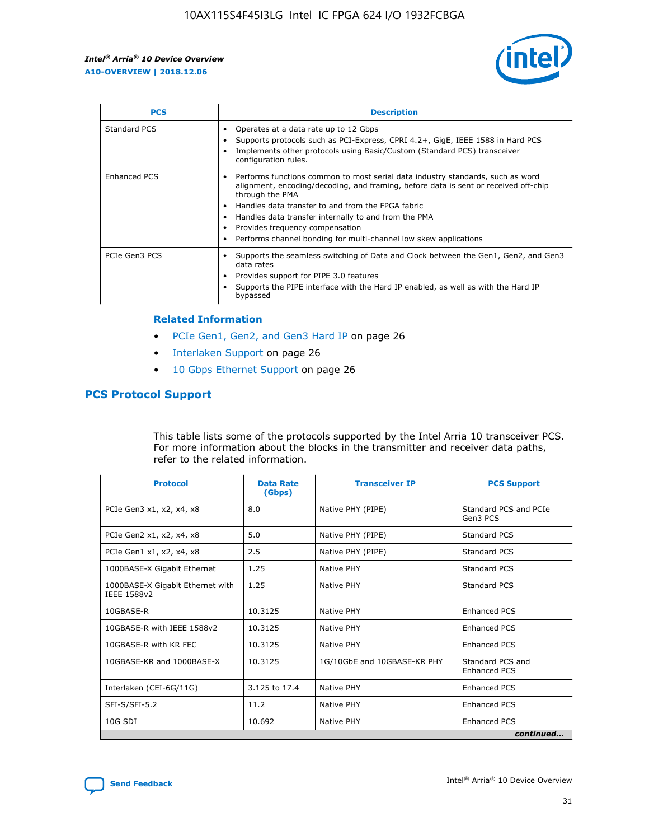

| <b>PCS</b>          | <b>Description</b>                                                                                                                                                                                                                                                                                                                                                                                             |
|---------------------|----------------------------------------------------------------------------------------------------------------------------------------------------------------------------------------------------------------------------------------------------------------------------------------------------------------------------------------------------------------------------------------------------------------|
| Standard PCS        | Operates at a data rate up to 12 Gbps<br>Supports protocols such as PCI-Express, CPRI 4.2+, GigE, IEEE 1588 in Hard PCS<br>Implements other protocols using Basic/Custom (Standard PCS) transceiver<br>configuration rules.                                                                                                                                                                                    |
| <b>Enhanced PCS</b> | Performs functions common to most serial data industry standards, such as word<br>alignment, encoding/decoding, and framing, before data is sent or received off-chip<br>through the PMA<br>• Handles data transfer to and from the FPGA fabric<br>Handles data transfer internally to and from the PMA<br>Provides frequency compensation<br>Performs channel bonding for multi-channel low skew applications |
| PCIe Gen3 PCS       | Supports the seamless switching of Data and Clock between the Gen1, Gen2, and Gen3<br>data rates<br>Provides support for PIPE 3.0 features<br>Supports the PIPE interface with the Hard IP enabled, as well as with the Hard IP<br>bypassed                                                                                                                                                                    |

#### **Related Information**

- PCIe Gen1, Gen2, and Gen3 Hard IP on page 26
- Interlaken Support on page 26
- 10 Gbps Ethernet Support on page 26

# **PCS Protocol Support**

This table lists some of the protocols supported by the Intel Arria 10 transceiver PCS. For more information about the blocks in the transmitter and receiver data paths, refer to the related information.

| <b>Protocol</b>                                 | <b>Data Rate</b><br>(Gbps) | <b>Transceiver IP</b>       | <b>PCS Support</b>                      |
|-------------------------------------------------|----------------------------|-----------------------------|-----------------------------------------|
| PCIe Gen3 x1, x2, x4, x8                        | 8.0                        | Native PHY (PIPE)           | Standard PCS and PCIe<br>Gen3 PCS       |
| PCIe Gen2 x1, x2, x4, x8                        | 5.0                        | Native PHY (PIPE)           | <b>Standard PCS</b>                     |
| PCIe Gen1 x1, x2, x4, x8                        | 2.5                        | Native PHY (PIPE)           | Standard PCS                            |
| 1000BASE-X Gigabit Ethernet                     | 1.25                       | Native PHY                  | <b>Standard PCS</b>                     |
| 1000BASE-X Gigabit Ethernet with<br>IEEE 1588v2 | 1.25                       | Native PHY                  | Standard PCS                            |
| 10GBASE-R                                       | 10.3125                    | Native PHY                  | <b>Enhanced PCS</b>                     |
| 10GBASE-R with IEEE 1588v2                      | 10.3125                    | Native PHY                  | <b>Enhanced PCS</b>                     |
| 10GBASE-R with KR FEC                           | 10.3125                    | Native PHY                  | <b>Enhanced PCS</b>                     |
| 10GBASE-KR and 1000BASE-X                       | 10.3125                    | 1G/10GbE and 10GBASE-KR PHY | Standard PCS and<br><b>Enhanced PCS</b> |
| Interlaken (CEI-6G/11G)                         | 3.125 to 17.4              | Native PHY                  | <b>Enhanced PCS</b>                     |
| SFI-S/SFI-5.2                                   | 11.2                       | Native PHY                  | <b>Enhanced PCS</b>                     |
| $10G$ SDI                                       | 10.692                     | Native PHY                  | <b>Enhanced PCS</b>                     |
|                                                 |                            |                             | continued                               |

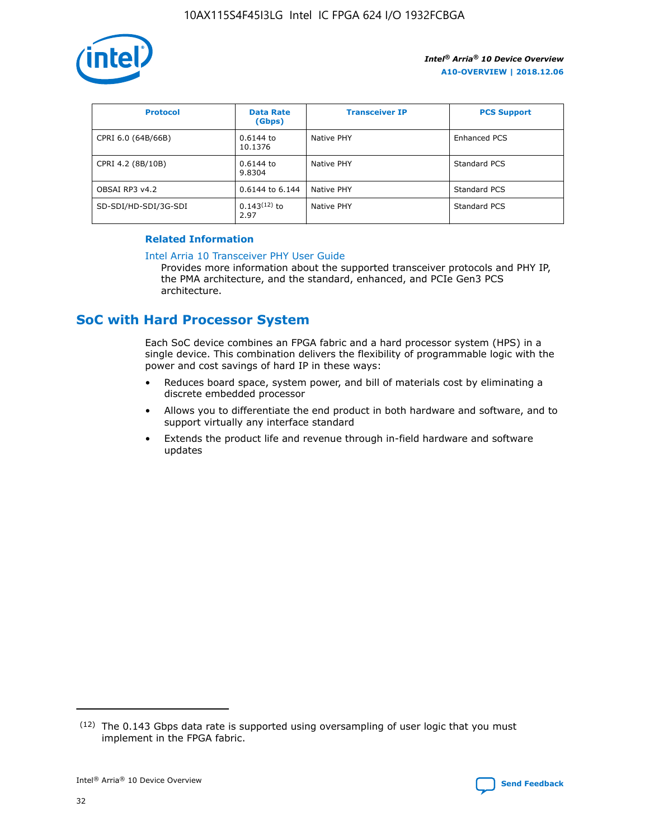

| <b>Protocol</b>      | <b>Data Rate</b><br>(Gbps) | <b>Transceiver IP</b> | <b>PCS Support</b> |
|----------------------|----------------------------|-----------------------|--------------------|
| CPRI 6.0 (64B/66B)   | 0.6144 to<br>10.1376       | Native PHY            | Enhanced PCS       |
| CPRI 4.2 (8B/10B)    | 0.6144 to<br>9.8304        | Native PHY            | Standard PCS       |
| OBSAI RP3 v4.2       | 0.6144 to 6.144            | Native PHY            | Standard PCS       |
| SD-SDI/HD-SDI/3G-SDI | $0.143(12)$ to<br>2.97     | Native PHY            | Standard PCS       |

# **Related Information**

#### [Intel Arria 10 Transceiver PHY User Guide](https://www.intel.com/content/www/us/en/programmable/documentation/nik1398707230472.html#nik1398707091164)

Provides more information about the supported transceiver protocols and PHY IP, the PMA architecture, and the standard, enhanced, and PCIe Gen3 PCS architecture.

# **SoC with Hard Processor System**

Each SoC device combines an FPGA fabric and a hard processor system (HPS) in a single device. This combination delivers the flexibility of programmable logic with the power and cost savings of hard IP in these ways:

- Reduces board space, system power, and bill of materials cost by eliminating a discrete embedded processor
- Allows you to differentiate the end product in both hardware and software, and to support virtually any interface standard
- Extends the product life and revenue through in-field hardware and software updates

 $(12)$  The 0.143 Gbps data rate is supported using oversampling of user logic that you must implement in the FPGA fabric.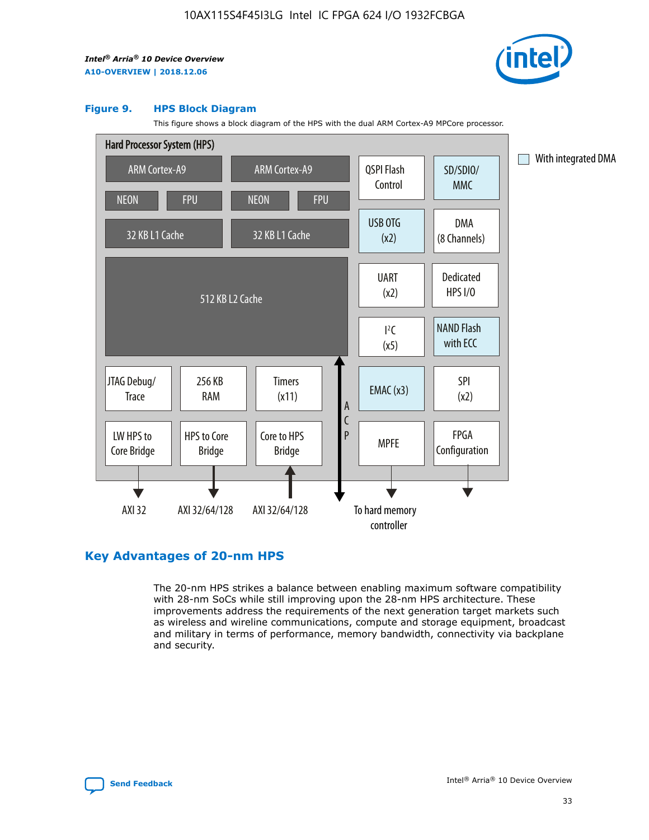

#### **Figure 9. HPS Block Diagram**

This figure shows a block diagram of the HPS with the dual ARM Cortex-A9 MPCore processor.



# **Key Advantages of 20-nm HPS**

The 20-nm HPS strikes a balance between enabling maximum software compatibility with 28-nm SoCs while still improving upon the 28-nm HPS architecture. These improvements address the requirements of the next generation target markets such as wireless and wireline communications, compute and storage equipment, broadcast and military in terms of performance, memory bandwidth, connectivity via backplane and security.

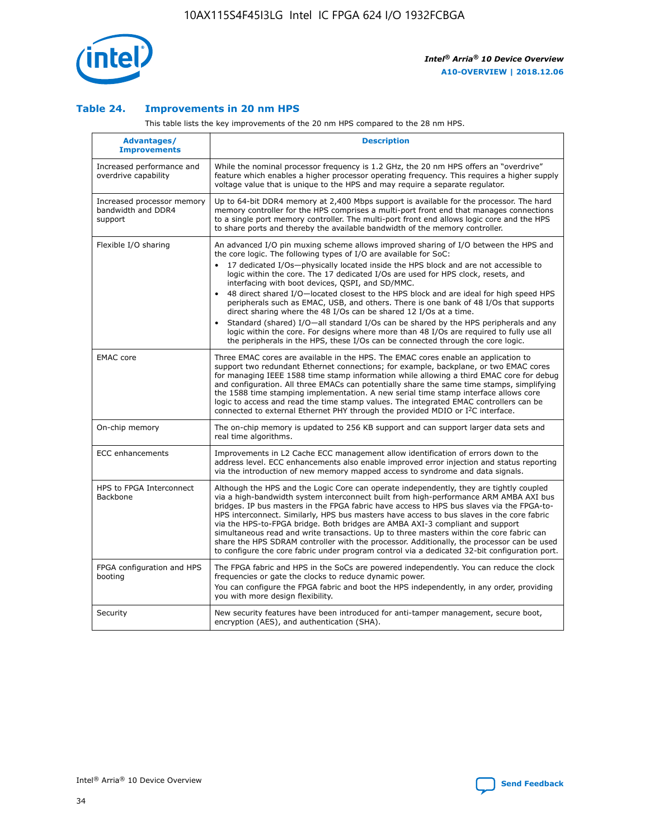

## **Table 24. Improvements in 20 nm HPS**

This table lists the key improvements of the 20 nm HPS compared to the 28 nm HPS.

| Advantages/<br><b>Improvements</b>                          | <b>Description</b>                                                                                                                                                                                                                                                                                                                                                                                                                                                                                                                                                                                                                                                                                                                                                                                                                                                                                                                                |
|-------------------------------------------------------------|---------------------------------------------------------------------------------------------------------------------------------------------------------------------------------------------------------------------------------------------------------------------------------------------------------------------------------------------------------------------------------------------------------------------------------------------------------------------------------------------------------------------------------------------------------------------------------------------------------------------------------------------------------------------------------------------------------------------------------------------------------------------------------------------------------------------------------------------------------------------------------------------------------------------------------------------------|
| Increased performance and<br>overdrive capability           | While the nominal processor frequency is 1.2 GHz, the 20 nm HPS offers an "overdrive"<br>feature which enables a higher processor operating frequency. This requires a higher supply<br>voltage value that is unique to the HPS and may require a separate regulator.                                                                                                                                                                                                                                                                                                                                                                                                                                                                                                                                                                                                                                                                             |
| Increased processor memory<br>bandwidth and DDR4<br>support | Up to 64-bit DDR4 memory at 2,400 Mbps support is available for the processor. The hard<br>memory controller for the HPS comprises a multi-port front end that manages connections<br>to a single port memory controller. The multi-port front end allows logic core and the HPS<br>to share ports and thereby the available bandwidth of the memory controller.                                                                                                                                                                                                                                                                                                                                                                                                                                                                                                                                                                                  |
| Flexible I/O sharing                                        | An advanced I/O pin muxing scheme allows improved sharing of I/O between the HPS and<br>the core logic. The following types of I/O are available for SoC:<br>$\bullet$<br>17 dedicated I/Os-physically located inside the HPS block and are not accessible to<br>logic within the core. The 17 dedicated I/Os are used for HPS clock, resets, and<br>interfacing with boot devices, QSPI, and SD/MMC.<br>48 direct shared I/O-located closest to the HPS block and are ideal for high speed HPS<br>$\bullet$<br>peripherals such as EMAC, USB, and others. There is one bank of 48 I/Os that supports<br>direct sharing where the 48 I/Os can be shared 12 I/Os at a time.<br>Standard (shared) I/O-all standard I/Os can be shared by the HPS peripherals and any<br>logic within the core. For designs where more than 48 I/Os are required to fully use all<br>the peripherals in the HPS, these I/Os can be connected through the core logic. |
| <b>EMAC</b> core                                            | Three EMAC cores are available in the HPS. The EMAC cores enable an application to<br>support two redundant Ethernet connections; for example, backplane, or two EMAC cores<br>for managing IEEE 1588 time stamp information while allowing a third EMAC core for debug<br>and configuration. All three EMACs can potentially share the same time stamps, simplifying<br>the 1588 time stamping implementation. A new serial time stamp interface allows core<br>logic to access and read the time stamp values. The integrated EMAC controllers can be<br>connected to external Ethernet PHY through the provided MDIO or I <sup>2</sup> C interface.                                                                                                                                                                                                                                                                                            |
| On-chip memory                                              | The on-chip memory is updated to 256 KB support and can support larger data sets and<br>real time algorithms.                                                                                                                                                                                                                                                                                                                                                                                                                                                                                                                                                                                                                                                                                                                                                                                                                                     |
| <b>ECC</b> enhancements                                     | Improvements in L2 Cache ECC management allow identification of errors down to the<br>address level. ECC enhancements also enable improved error injection and status reporting<br>via the introduction of new memory mapped access to syndrome and data signals.                                                                                                                                                                                                                                                                                                                                                                                                                                                                                                                                                                                                                                                                                 |
| HPS to FPGA Interconnect<br>Backbone                        | Although the HPS and the Logic Core can operate independently, they are tightly coupled<br>via a high-bandwidth system interconnect built from high-performance ARM AMBA AXI bus<br>bridges. IP bus masters in the FPGA fabric have access to HPS bus slaves via the FPGA-to-<br>HPS interconnect. Similarly, HPS bus masters have access to bus slaves in the core fabric<br>via the HPS-to-FPGA bridge. Both bridges are AMBA AXI-3 compliant and support<br>simultaneous read and write transactions. Up to three masters within the core fabric can<br>share the HPS SDRAM controller with the processor. Additionally, the processor can be used<br>to configure the core fabric under program control via a dedicated 32-bit configuration port.                                                                                                                                                                                            |
| FPGA configuration and HPS<br>booting                       | The FPGA fabric and HPS in the SoCs are powered independently. You can reduce the clock<br>frequencies or gate the clocks to reduce dynamic power.<br>You can configure the FPGA fabric and boot the HPS independently, in any order, providing<br>you with more design flexibility.                                                                                                                                                                                                                                                                                                                                                                                                                                                                                                                                                                                                                                                              |
| Security                                                    | New security features have been introduced for anti-tamper management, secure boot,<br>encryption (AES), and authentication (SHA).                                                                                                                                                                                                                                                                                                                                                                                                                                                                                                                                                                                                                                                                                                                                                                                                                |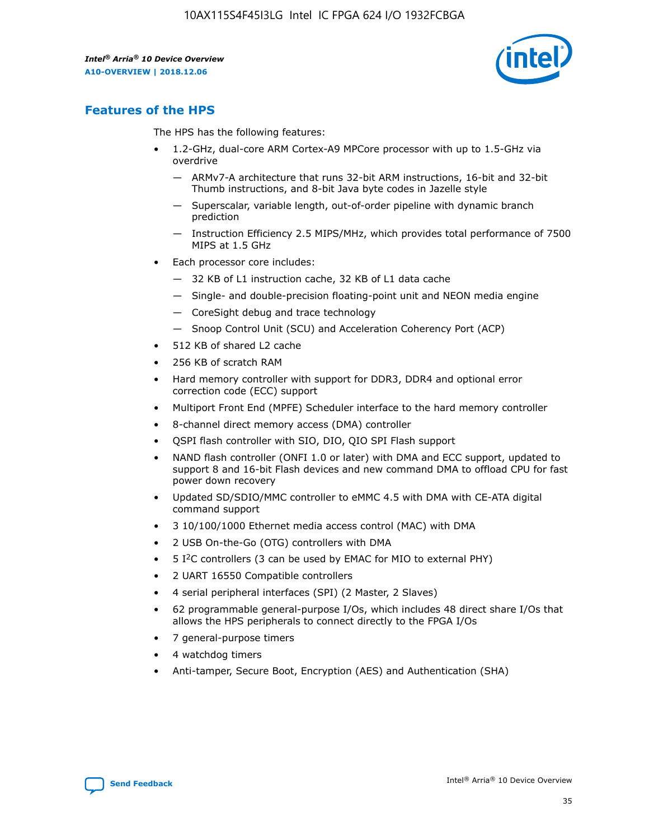

# **Features of the HPS**

The HPS has the following features:

- 1.2-GHz, dual-core ARM Cortex-A9 MPCore processor with up to 1.5-GHz via overdrive
	- ARMv7-A architecture that runs 32-bit ARM instructions, 16-bit and 32-bit Thumb instructions, and 8-bit Java byte codes in Jazelle style
	- Superscalar, variable length, out-of-order pipeline with dynamic branch prediction
	- Instruction Efficiency 2.5 MIPS/MHz, which provides total performance of 7500 MIPS at 1.5 GHz
- Each processor core includes:
	- 32 KB of L1 instruction cache, 32 KB of L1 data cache
	- Single- and double-precision floating-point unit and NEON media engine
	- CoreSight debug and trace technology
	- Snoop Control Unit (SCU) and Acceleration Coherency Port (ACP)
- 512 KB of shared L2 cache
- 256 KB of scratch RAM
- Hard memory controller with support for DDR3, DDR4 and optional error correction code (ECC) support
- Multiport Front End (MPFE) Scheduler interface to the hard memory controller
- 8-channel direct memory access (DMA) controller
- QSPI flash controller with SIO, DIO, QIO SPI Flash support
- NAND flash controller (ONFI 1.0 or later) with DMA and ECC support, updated to support 8 and 16-bit Flash devices and new command DMA to offload CPU for fast power down recovery
- Updated SD/SDIO/MMC controller to eMMC 4.5 with DMA with CE-ATA digital command support
- 3 10/100/1000 Ethernet media access control (MAC) with DMA
- 2 USB On-the-Go (OTG) controllers with DMA
- $\bullet$  5 I<sup>2</sup>C controllers (3 can be used by EMAC for MIO to external PHY)
- 2 UART 16550 Compatible controllers
- 4 serial peripheral interfaces (SPI) (2 Master, 2 Slaves)
- 62 programmable general-purpose I/Os, which includes 48 direct share I/Os that allows the HPS peripherals to connect directly to the FPGA I/Os
- 7 general-purpose timers
- 4 watchdog timers
- Anti-tamper, Secure Boot, Encryption (AES) and Authentication (SHA)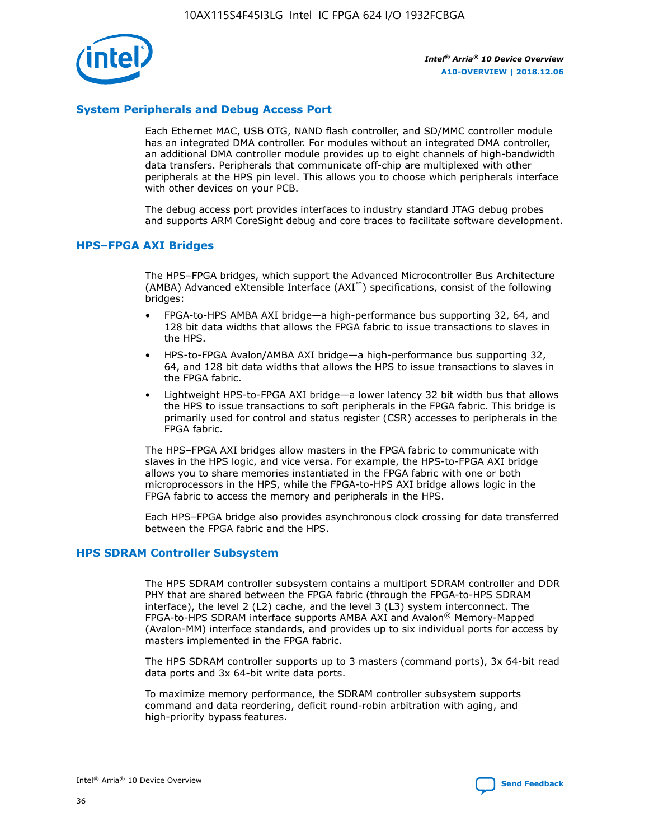

# **System Peripherals and Debug Access Port**

Each Ethernet MAC, USB OTG, NAND flash controller, and SD/MMC controller module has an integrated DMA controller. For modules without an integrated DMA controller, an additional DMA controller module provides up to eight channels of high-bandwidth data transfers. Peripherals that communicate off-chip are multiplexed with other peripherals at the HPS pin level. This allows you to choose which peripherals interface with other devices on your PCB.

The debug access port provides interfaces to industry standard JTAG debug probes and supports ARM CoreSight debug and core traces to facilitate software development.

## **HPS–FPGA AXI Bridges**

The HPS–FPGA bridges, which support the Advanced Microcontroller Bus Architecture (AMBA) Advanced eXtensible Interface (AXI™) specifications, consist of the following bridges:

- FPGA-to-HPS AMBA AXI bridge—a high-performance bus supporting 32, 64, and 128 bit data widths that allows the FPGA fabric to issue transactions to slaves in the HPS.
- HPS-to-FPGA Avalon/AMBA AXI bridge—a high-performance bus supporting 32, 64, and 128 bit data widths that allows the HPS to issue transactions to slaves in the FPGA fabric.
- Lightweight HPS-to-FPGA AXI bridge—a lower latency 32 bit width bus that allows the HPS to issue transactions to soft peripherals in the FPGA fabric. This bridge is primarily used for control and status register (CSR) accesses to peripherals in the FPGA fabric.

The HPS–FPGA AXI bridges allow masters in the FPGA fabric to communicate with slaves in the HPS logic, and vice versa. For example, the HPS-to-FPGA AXI bridge allows you to share memories instantiated in the FPGA fabric with one or both microprocessors in the HPS, while the FPGA-to-HPS AXI bridge allows logic in the FPGA fabric to access the memory and peripherals in the HPS.

Each HPS–FPGA bridge also provides asynchronous clock crossing for data transferred between the FPGA fabric and the HPS.

## **HPS SDRAM Controller Subsystem**

The HPS SDRAM controller subsystem contains a multiport SDRAM controller and DDR PHY that are shared between the FPGA fabric (through the FPGA-to-HPS SDRAM interface), the level 2 (L2) cache, and the level 3 (L3) system interconnect. The FPGA-to-HPS SDRAM interface supports AMBA AXI and Avalon® Memory-Mapped (Avalon-MM) interface standards, and provides up to six individual ports for access by masters implemented in the FPGA fabric.

The HPS SDRAM controller supports up to 3 masters (command ports), 3x 64-bit read data ports and 3x 64-bit write data ports.

To maximize memory performance, the SDRAM controller subsystem supports command and data reordering, deficit round-robin arbitration with aging, and high-priority bypass features.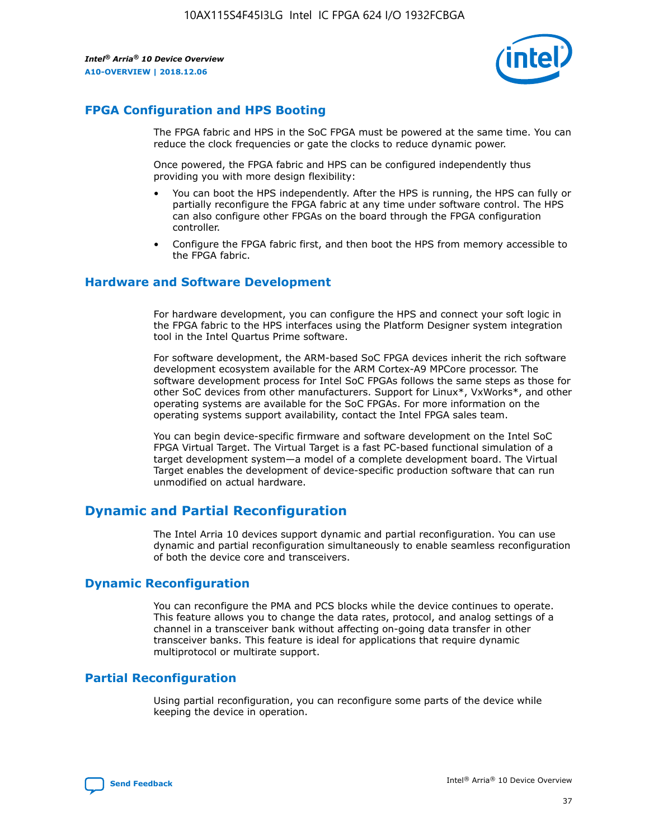

# **FPGA Configuration and HPS Booting**

The FPGA fabric and HPS in the SoC FPGA must be powered at the same time. You can reduce the clock frequencies or gate the clocks to reduce dynamic power.

Once powered, the FPGA fabric and HPS can be configured independently thus providing you with more design flexibility:

- You can boot the HPS independently. After the HPS is running, the HPS can fully or partially reconfigure the FPGA fabric at any time under software control. The HPS can also configure other FPGAs on the board through the FPGA configuration controller.
- Configure the FPGA fabric first, and then boot the HPS from memory accessible to the FPGA fabric.

## **Hardware and Software Development**

For hardware development, you can configure the HPS and connect your soft logic in the FPGA fabric to the HPS interfaces using the Platform Designer system integration tool in the Intel Quartus Prime software.

For software development, the ARM-based SoC FPGA devices inherit the rich software development ecosystem available for the ARM Cortex-A9 MPCore processor. The software development process for Intel SoC FPGAs follows the same steps as those for other SoC devices from other manufacturers. Support for Linux\*, VxWorks\*, and other operating systems are available for the SoC FPGAs. For more information on the operating systems support availability, contact the Intel FPGA sales team.

You can begin device-specific firmware and software development on the Intel SoC FPGA Virtual Target. The Virtual Target is a fast PC-based functional simulation of a target development system—a model of a complete development board. The Virtual Target enables the development of device-specific production software that can run unmodified on actual hardware.

# **Dynamic and Partial Reconfiguration**

The Intel Arria 10 devices support dynamic and partial reconfiguration. You can use dynamic and partial reconfiguration simultaneously to enable seamless reconfiguration of both the device core and transceivers.

# **Dynamic Reconfiguration**

You can reconfigure the PMA and PCS blocks while the device continues to operate. This feature allows you to change the data rates, protocol, and analog settings of a channel in a transceiver bank without affecting on-going data transfer in other transceiver banks. This feature is ideal for applications that require dynamic multiprotocol or multirate support.

# **Partial Reconfiguration**

Using partial reconfiguration, you can reconfigure some parts of the device while keeping the device in operation.

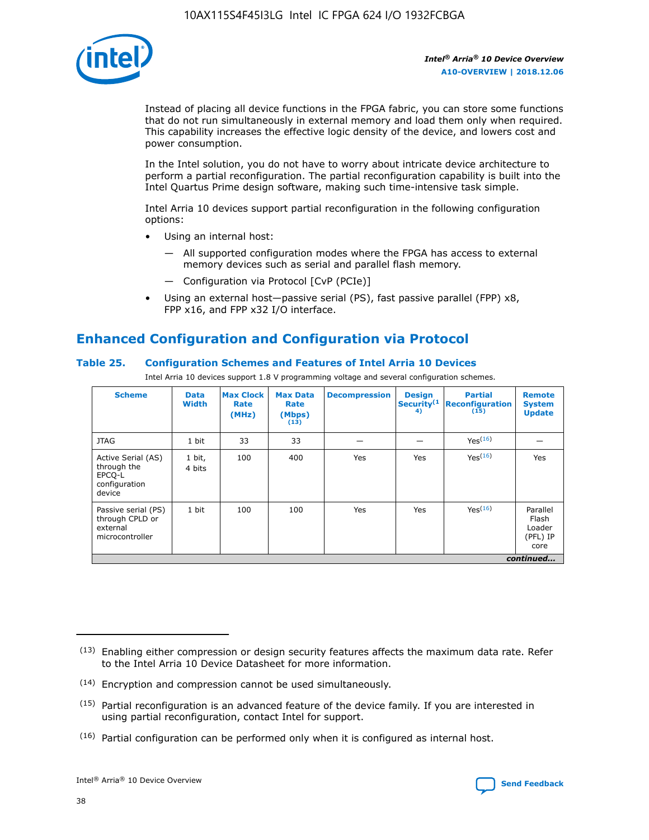

Instead of placing all device functions in the FPGA fabric, you can store some functions that do not run simultaneously in external memory and load them only when required. This capability increases the effective logic density of the device, and lowers cost and power consumption.

In the Intel solution, you do not have to worry about intricate device architecture to perform a partial reconfiguration. The partial reconfiguration capability is built into the Intel Quartus Prime design software, making such time-intensive task simple.

Intel Arria 10 devices support partial reconfiguration in the following configuration options:

- Using an internal host:
	- All supported configuration modes where the FPGA has access to external memory devices such as serial and parallel flash memory.
	- Configuration via Protocol [CvP (PCIe)]
- Using an external host—passive serial (PS), fast passive parallel (FPP) x8, FPP x16, and FPP x32 I/O interface.

# **Enhanced Configuration and Configuration via Protocol**

# **Table 25. Configuration Schemes and Features of Intel Arria 10 Devices**

Intel Arria 10 devices support 1.8 V programming voltage and several configuration schemes.

| <b>Scheme</b>                                                          | <b>Data</b><br><b>Width</b> | <b>Max Clock</b><br>Rate<br>(MHz) | <b>Max Data</b><br>Rate<br>(Mbps)<br>(13) | <b>Decompression</b> | <b>Design</b><br>Security <sup>(1</sup><br>4) | <b>Partial</b><br><b>Reconfiguration</b><br>(15) | <b>Remote</b><br><b>System</b><br><b>Update</b> |
|------------------------------------------------------------------------|-----------------------------|-----------------------------------|-------------------------------------------|----------------------|-----------------------------------------------|--------------------------------------------------|-------------------------------------------------|
| <b>JTAG</b>                                                            | 1 bit                       | 33                                | 33                                        |                      |                                               | Yes(16)                                          |                                                 |
| Active Serial (AS)<br>through the<br>EPCO-L<br>configuration<br>device | 1 bit,<br>4 bits            | 100                               | 400                                       | Yes                  | Yes                                           | $Y_{PS}(16)$                                     | Yes                                             |
| Passive serial (PS)<br>through CPLD or<br>external<br>microcontroller  | 1 bit                       | 100                               | 100                                       | Yes                  | Yes                                           | Yes(16)                                          | Parallel<br>Flash<br>Loader<br>(PFL) IP<br>core |
|                                                                        |                             |                                   |                                           |                      |                                               |                                                  | continued                                       |

<sup>(13)</sup> Enabling either compression or design security features affects the maximum data rate. Refer to the Intel Arria 10 Device Datasheet for more information.

<sup>(14)</sup> Encryption and compression cannot be used simultaneously.

 $<sup>(15)</sup>$  Partial reconfiguration is an advanced feature of the device family. If you are interested in</sup> using partial reconfiguration, contact Intel for support.

 $(16)$  Partial configuration can be performed only when it is configured as internal host.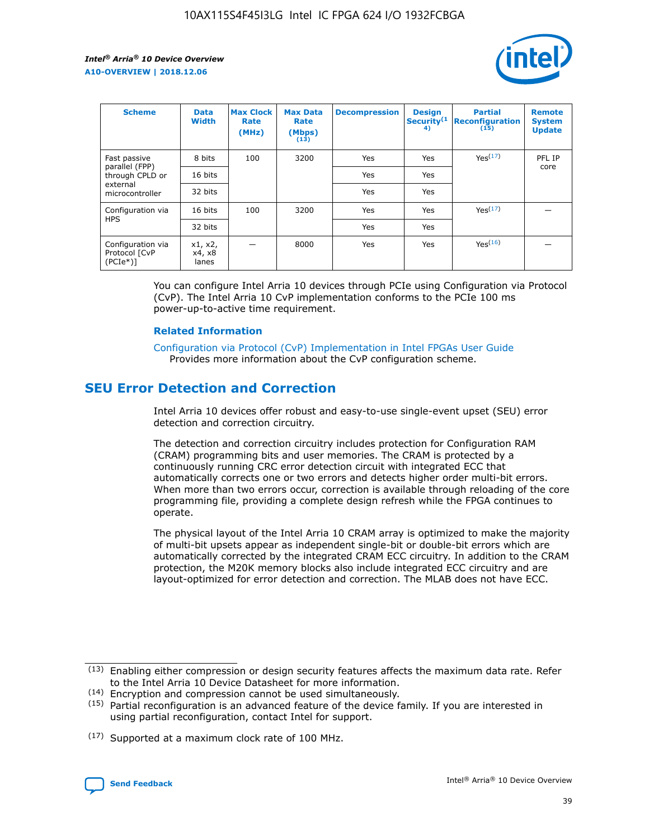

| <b>Scheme</b>                                   | <b>Data</b><br><b>Width</b> | <b>Max Clock</b><br>Rate<br>(MHz) | <b>Max Data</b><br>Rate<br>(Mbps)<br>(13) | <b>Decompression</b> | <b>Design</b><br>Security <sup>(1</sup><br>4) | <b>Partial</b><br><b>Reconfiguration</b><br>(15) | <b>Remote</b><br><b>System</b><br><b>Update</b> |
|-------------------------------------------------|-----------------------------|-----------------------------------|-------------------------------------------|----------------------|-----------------------------------------------|--------------------------------------------------|-------------------------------------------------|
| Fast passive                                    | 8 bits                      | 100                               | 3200                                      | <b>Yes</b>           | Yes                                           | Yes(17)                                          | PFL IP                                          |
| parallel (FPP)<br>through CPLD or               | 16 bits                     |                                   |                                           | Yes                  | Yes                                           |                                                  | core                                            |
| external<br>microcontroller                     | 32 bits                     |                                   |                                           | Yes                  | Yes                                           |                                                  |                                                 |
| Configuration via                               | 16 bits                     | 100                               | 3200                                      | Yes                  | Yes                                           | Yes <sup>(17)</sup>                              |                                                 |
| <b>HPS</b>                                      | 32 bits                     |                                   |                                           | Yes                  | Yes                                           |                                                  |                                                 |
| Configuration via<br>Protocol [CvP<br>$(PCIe*)$ | x1, x2,<br>x4, x8<br>lanes  |                                   | 8000                                      | Yes                  | Yes                                           | Yes <sup>(16)</sup>                              |                                                 |

You can configure Intel Arria 10 devices through PCIe using Configuration via Protocol (CvP). The Intel Arria 10 CvP implementation conforms to the PCIe 100 ms power-up-to-active time requirement.

#### **Related Information**

[Configuration via Protocol \(CvP\) Implementation in Intel FPGAs User Guide](https://www.intel.com/content/www/us/en/programmable/documentation/dsu1441819344145.html#dsu1442269728522) Provides more information about the CvP configuration scheme.

# **SEU Error Detection and Correction**

Intel Arria 10 devices offer robust and easy-to-use single-event upset (SEU) error detection and correction circuitry.

The detection and correction circuitry includes protection for Configuration RAM (CRAM) programming bits and user memories. The CRAM is protected by a continuously running CRC error detection circuit with integrated ECC that automatically corrects one or two errors and detects higher order multi-bit errors. When more than two errors occur, correction is available through reloading of the core programming file, providing a complete design refresh while the FPGA continues to operate.

The physical layout of the Intel Arria 10 CRAM array is optimized to make the majority of multi-bit upsets appear as independent single-bit or double-bit errors which are automatically corrected by the integrated CRAM ECC circuitry. In addition to the CRAM protection, the M20K memory blocks also include integrated ECC circuitry and are layout-optimized for error detection and correction. The MLAB does not have ECC.

(14) Encryption and compression cannot be used simultaneously.

<sup>(17)</sup> Supported at a maximum clock rate of 100 MHz.



 $(13)$  Enabling either compression or design security features affects the maximum data rate. Refer to the Intel Arria 10 Device Datasheet for more information.

 $(15)$  Partial reconfiguration is an advanced feature of the device family. If you are interested in using partial reconfiguration, contact Intel for support.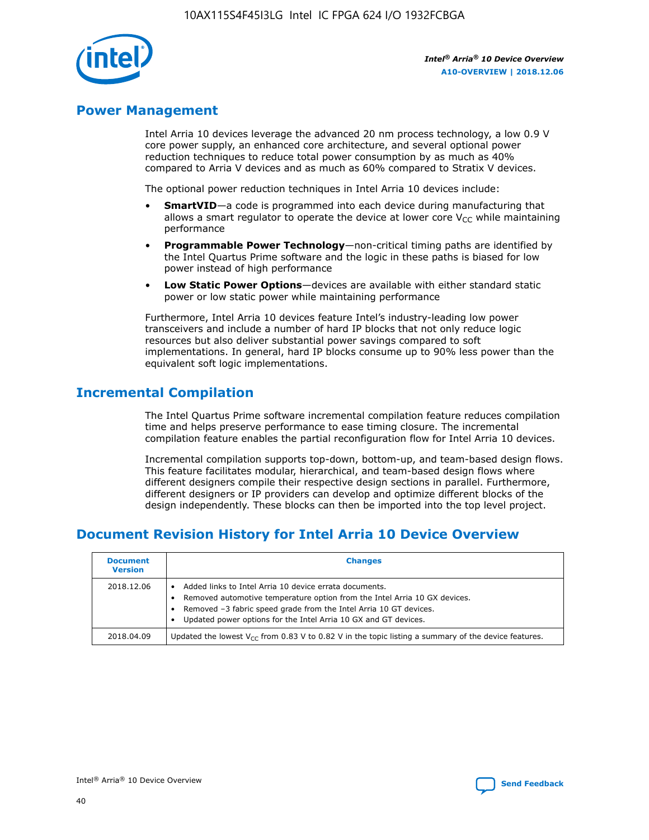

# **Power Management**

Intel Arria 10 devices leverage the advanced 20 nm process technology, a low 0.9 V core power supply, an enhanced core architecture, and several optional power reduction techniques to reduce total power consumption by as much as 40% compared to Arria V devices and as much as 60% compared to Stratix V devices.

The optional power reduction techniques in Intel Arria 10 devices include:

- **SmartVID**—a code is programmed into each device during manufacturing that allows a smart regulator to operate the device at lower core  $V_{CC}$  while maintaining performance
- **Programmable Power Technology**—non-critical timing paths are identified by the Intel Quartus Prime software and the logic in these paths is biased for low power instead of high performance
- **Low Static Power Options**—devices are available with either standard static power or low static power while maintaining performance

Furthermore, Intel Arria 10 devices feature Intel's industry-leading low power transceivers and include a number of hard IP blocks that not only reduce logic resources but also deliver substantial power savings compared to soft implementations. In general, hard IP blocks consume up to 90% less power than the equivalent soft logic implementations.

# **Incremental Compilation**

The Intel Quartus Prime software incremental compilation feature reduces compilation time and helps preserve performance to ease timing closure. The incremental compilation feature enables the partial reconfiguration flow for Intel Arria 10 devices.

Incremental compilation supports top-down, bottom-up, and team-based design flows. This feature facilitates modular, hierarchical, and team-based design flows where different designers compile their respective design sections in parallel. Furthermore, different designers or IP providers can develop and optimize different blocks of the design independently. These blocks can then be imported into the top level project.

# **Document Revision History for Intel Arria 10 Device Overview**

| <b>Document</b><br><b>Version</b> | <b>Changes</b>                                                                                                                                                                                                                                                              |
|-----------------------------------|-----------------------------------------------------------------------------------------------------------------------------------------------------------------------------------------------------------------------------------------------------------------------------|
| 2018.12.06                        | Added links to Intel Arria 10 device errata documents.<br>Removed automotive temperature option from the Intel Arria 10 GX devices.<br>Removed -3 fabric speed grade from the Intel Arria 10 GT devices.<br>Updated power options for the Intel Arria 10 GX and GT devices. |
| 2018.04.09                        | Updated the lowest $V_{CC}$ from 0.83 V to 0.82 V in the topic listing a summary of the device features.                                                                                                                                                                    |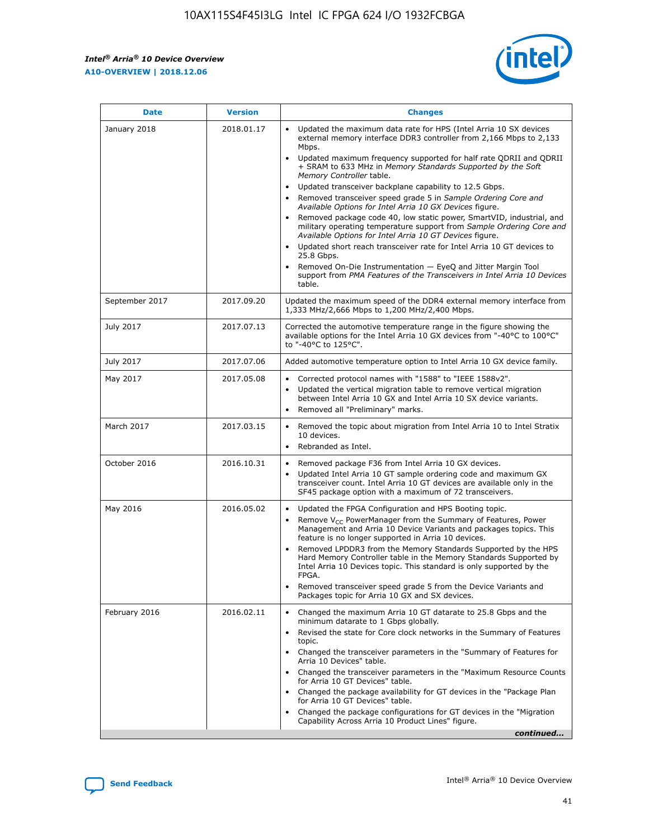$\mathsf{r}$ 



| January 2018<br>Updated the maximum data rate for HPS (Intel Arria 10 SX devices<br>2018.01.17<br>external memory interface DDR3 controller from 2,166 Mbps to 2,133<br>Mbps.<br>$\bullet$<br>+ SRAM to 633 MHz in Memory Standards Supported by the Soft<br>Memory Controller table.<br>Updated transceiver backplane capability to 12.5 Gbps.<br>$\bullet$<br>Removed transceiver speed grade 5 in Sample Ordering Core and<br>Available Options for Intel Arria 10 GX Devices figure.<br>Available Options for Intel Arria 10 GT Devices figure.<br>Updated short reach transceiver rate for Intel Arria 10 GT devices to<br>$\bullet$<br>25.8 Gbps.<br>Removed On-Die Instrumentation - EyeQ and Jitter Margin Tool<br>table.<br>2017.09.20<br>September 2017<br>1,333 MHz/2,666 Mbps to 1,200 MHz/2,400 Mbps.<br>July 2017<br>2017.07.13<br>Corrected the automotive temperature range in the figure showing the<br>available options for the Intel Arria 10 GX devices from "-40°C to 100°C"<br>to "-40°C to 125°C".<br>July 2017<br>2017.07.06<br>Added automotive temperature option to Intel Arria 10 GX device family.<br>2017.05.08<br>Corrected protocol names with "1588" to "IEEE 1588v2".<br>May 2017<br>$\bullet$<br>Updated the vertical migration table to remove vertical migration<br>$\bullet$<br>between Intel Arria 10 GX and Intel Arria 10 SX device variants.<br>Removed all "Preliminary" marks.<br>2017.03.15<br>March 2017<br>Removed the topic about migration from Intel Arria 10 to Intel Stratix<br>10 devices.<br>Rebranded as Intel.<br>$\bullet$<br>October 2016<br>2016.10.31<br>Removed package F36 from Intel Arria 10 GX devices.<br>$\bullet$<br>Updated Intel Arria 10 GT sample ordering code and maximum GX<br>$\bullet$<br>transceiver count. Intel Arria 10 GT devices are available only in the<br>SF45 package option with a maximum of 72 transceivers.<br>May 2016<br>2016.05.02<br>Updated the FPGA Configuration and HPS Booting topic.<br>Remove $V_{CC}$ PowerManager from the Summary of Features, Power<br>Management and Arria 10 Device Variants and packages topics. This<br>feature is no longer supported in Arria 10 devices.<br>Removed LPDDR3 from the Memory Standards Supported by the HPS<br>Hard Memory Controller table in the Memory Standards Supported by<br>Intel Arria 10 Devices topic. This standard is only supported by the<br>FPGA.<br>Removed transceiver speed grade 5 from the Device Variants and<br>Packages topic for Arria 10 GX and SX devices.<br>Changed the maximum Arria 10 GT datarate to 25.8 Gbps and the<br>February 2016<br>2016.02.11<br>minimum datarate to 1 Gbps globally.<br>Revised the state for Core clock networks in the Summary of Features<br>$\bullet$<br>topic.<br>• Changed the transceiver parameters in the "Summary of Features for<br>Arria 10 Devices" table.<br>for Arria 10 GT Devices" table.<br>• Changed the package availability for GT devices in the "Package Plan<br>for Arria 10 GT Devices" table.<br>Changed the package configurations for GT devices in the "Migration"<br>Capability Across Arria 10 Product Lines" figure. | <b>Date</b> | <b>Version</b> | <b>Changes</b>                                                                                                                                                                                                                                                                               |
|----------------------------------------------------------------------------------------------------------------------------------------------------------------------------------------------------------------------------------------------------------------------------------------------------------------------------------------------------------------------------------------------------------------------------------------------------------------------------------------------------------------------------------------------------------------------------------------------------------------------------------------------------------------------------------------------------------------------------------------------------------------------------------------------------------------------------------------------------------------------------------------------------------------------------------------------------------------------------------------------------------------------------------------------------------------------------------------------------------------------------------------------------------------------------------------------------------------------------------------------------------------------------------------------------------------------------------------------------------------------------------------------------------------------------------------------------------------------------------------------------------------------------------------------------------------------------------------------------------------------------------------------------------------------------------------------------------------------------------------------------------------------------------------------------------------------------------------------------------------------------------------------------------------------------------------------------------------------------------------------------------------------------------------------------------------------------------------------------------------------------------------------------------------------------------------------------------------------------------------------------------------------------------------------------------------------------------------------------------------------------------------------------------------------------------------------------------------------------------------------------------------------------------------------------------------------------------------------------------------------------------------------------------------------------------------------------------------------------------------------------------------------------------------------------------------------------------------------------------------------------------------------------------------------------------------------------------------------------------------------------------------------------------------------------------------------------------------------------------------------------------------------------------------|-------------|----------------|----------------------------------------------------------------------------------------------------------------------------------------------------------------------------------------------------------------------------------------------------------------------------------------------|
|                                                                                                                                                                                                                                                                                                                                                                                                                                                                                                                                                                                                                                                                                                                                                                                                                                                                                                                                                                                                                                                                                                                                                                                                                                                                                                                                                                                                                                                                                                                                                                                                                                                                                                                                                                                                                                                                                                                                                                                                                                                                                                                                                                                                                                                                                                                                                                                                                                                                                                                                                                                                                                                                                                                                                                                                                                                                                                                                                                                                                                                                                                                                                                |             |                | Updated maximum frequency supported for half rate QDRII and QDRII<br>Removed package code 40, low static power, SmartVID, industrial, and<br>military operating temperature support from Sample Ordering Core and<br>support from PMA Features of the Transceivers in Intel Arria 10 Devices |
|                                                                                                                                                                                                                                                                                                                                                                                                                                                                                                                                                                                                                                                                                                                                                                                                                                                                                                                                                                                                                                                                                                                                                                                                                                                                                                                                                                                                                                                                                                                                                                                                                                                                                                                                                                                                                                                                                                                                                                                                                                                                                                                                                                                                                                                                                                                                                                                                                                                                                                                                                                                                                                                                                                                                                                                                                                                                                                                                                                                                                                                                                                                                                                |             |                | Updated the maximum speed of the DDR4 external memory interface from                                                                                                                                                                                                                         |
|                                                                                                                                                                                                                                                                                                                                                                                                                                                                                                                                                                                                                                                                                                                                                                                                                                                                                                                                                                                                                                                                                                                                                                                                                                                                                                                                                                                                                                                                                                                                                                                                                                                                                                                                                                                                                                                                                                                                                                                                                                                                                                                                                                                                                                                                                                                                                                                                                                                                                                                                                                                                                                                                                                                                                                                                                                                                                                                                                                                                                                                                                                                                                                |             |                |                                                                                                                                                                                                                                                                                              |
|                                                                                                                                                                                                                                                                                                                                                                                                                                                                                                                                                                                                                                                                                                                                                                                                                                                                                                                                                                                                                                                                                                                                                                                                                                                                                                                                                                                                                                                                                                                                                                                                                                                                                                                                                                                                                                                                                                                                                                                                                                                                                                                                                                                                                                                                                                                                                                                                                                                                                                                                                                                                                                                                                                                                                                                                                                                                                                                                                                                                                                                                                                                                                                |             |                |                                                                                                                                                                                                                                                                                              |
|                                                                                                                                                                                                                                                                                                                                                                                                                                                                                                                                                                                                                                                                                                                                                                                                                                                                                                                                                                                                                                                                                                                                                                                                                                                                                                                                                                                                                                                                                                                                                                                                                                                                                                                                                                                                                                                                                                                                                                                                                                                                                                                                                                                                                                                                                                                                                                                                                                                                                                                                                                                                                                                                                                                                                                                                                                                                                                                                                                                                                                                                                                                                                                |             |                |                                                                                                                                                                                                                                                                                              |
|                                                                                                                                                                                                                                                                                                                                                                                                                                                                                                                                                                                                                                                                                                                                                                                                                                                                                                                                                                                                                                                                                                                                                                                                                                                                                                                                                                                                                                                                                                                                                                                                                                                                                                                                                                                                                                                                                                                                                                                                                                                                                                                                                                                                                                                                                                                                                                                                                                                                                                                                                                                                                                                                                                                                                                                                                                                                                                                                                                                                                                                                                                                                                                |             |                |                                                                                                                                                                                                                                                                                              |
|                                                                                                                                                                                                                                                                                                                                                                                                                                                                                                                                                                                                                                                                                                                                                                                                                                                                                                                                                                                                                                                                                                                                                                                                                                                                                                                                                                                                                                                                                                                                                                                                                                                                                                                                                                                                                                                                                                                                                                                                                                                                                                                                                                                                                                                                                                                                                                                                                                                                                                                                                                                                                                                                                                                                                                                                                                                                                                                                                                                                                                                                                                                                                                |             |                |                                                                                                                                                                                                                                                                                              |
|                                                                                                                                                                                                                                                                                                                                                                                                                                                                                                                                                                                                                                                                                                                                                                                                                                                                                                                                                                                                                                                                                                                                                                                                                                                                                                                                                                                                                                                                                                                                                                                                                                                                                                                                                                                                                                                                                                                                                                                                                                                                                                                                                                                                                                                                                                                                                                                                                                                                                                                                                                                                                                                                                                                                                                                                                                                                                                                                                                                                                                                                                                                                                                |             |                |                                                                                                                                                                                                                                                                                              |
|                                                                                                                                                                                                                                                                                                                                                                                                                                                                                                                                                                                                                                                                                                                                                                                                                                                                                                                                                                                                                                                                                                                                                                                                                                                                                                                                                                                                                                                                                                                                                                                                                                                                                                                                                                                                                                                                                                                                                                                                                                                                                                                                                                                                                                                                                                                                                                                                                                                                                                                                                                                                                                                                                                                                                                                                                                                                                                                                                                                                                                                                                                                                                                |             |                | Changed the transceiver parameters in the "Maximum Resource Counts"<br>continued                                                                                                                                                                                                             |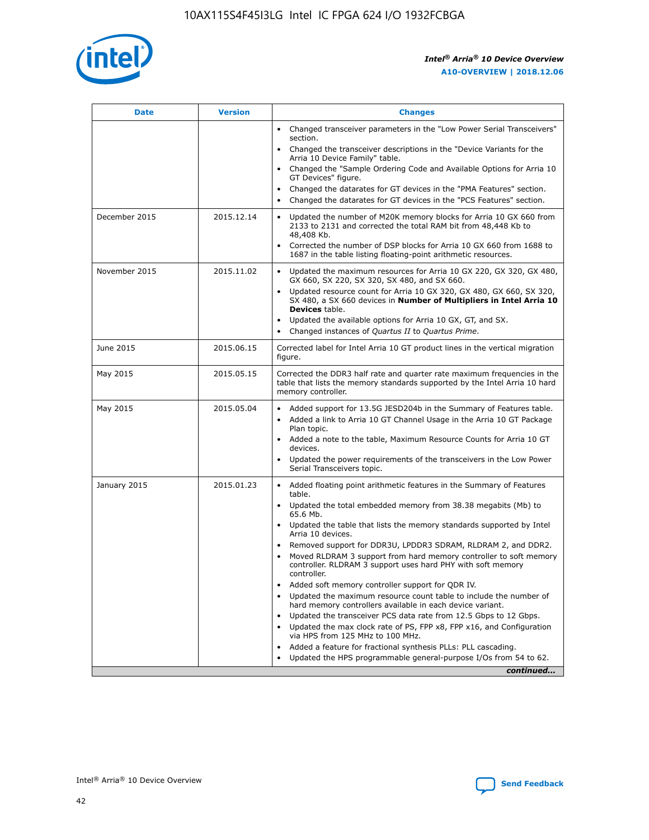

| <b>Date</b>   | <b>Version</b> | <b>Changes</b>                                                                                                                                                                   |
|---------------|----------------|----------------------------------------------------------------------------------------------------------------------------------------------------------------------------------|
|               |                | • Changed transceiver parameters in the "Low Power Serial Transceivers"<br>section.                                                                                              |
|               |                | • Changed the transceiver descriptions in the "Device Variants for the<br>Arria 10 Device Family" table.                                                                         |
|               |                | Changed the "Sample Ordering Code and Available Options for Arria 10<br>GT Devices" figure.                                                                                      |
|               |                | Changed the datarates for GT devices in the "PMA Features" section.                                                                                                              |
|               |                | Changed the datarates for GT devices in the "PCS Features" section.<br>$\bullet$                                                                                                 |
| December 2015 | 2015.12.14     | Updated the number of M20K memory blocks for Arria 10 GX 660 from<br>$\bullet$<br>2133 to 2131 and corrected the total RAM bit from 48,448 Kb to<br>48,408 Kb.                   |
|               |                | Corrected the number of DSP blocks for Arria 10 GX 660 from 1688 to<br>$\bullet$<br>1687 in the table listing floating-point arithmetic resources.                               |
| November 2015 | 2015.11.02     | Updated the maximum resources for Arria 10 GX 220, GX 320, GX 480,<br>$\bullet$<br>GX 660, SX 220, SX 320, SX 480, and SX 660.                                                   |
|               |                | Updated resource count for Arria 10 GX 320, GX 480, GX 660, SX 320,<br>$\bullet$<br>SX 480, a SX 660 devices in Number of Multipliers in Intel Arria 10<br><b>Devices</b> table. |
|               |                | Updated the available options for Arria 10 GX, GT, and SX.<br>$\bullet$                                                                                                          |
|               |                | Changed instances of Quartus II to Quartus Prime.<br>$\bullet$                                                                                                                   |
| June 2015     | 2015.06.15     | Corrected label for Intel Arria 10 GT product lines in the vertical migration<br>figure.                                                                                         |
| May 2015      | 2015.05.15     | Corrected the DDR3 half rate and quarter rate maximum frequencies in the<br>table that lists the memory standards supported by the Intel Arria 10 hard<br>memory controller.     |
| May 2015      | 2015.05.04     | • Added support for 13.5G JESD204b in the Summary of Features table.<br>• Added a link to Arria 10 GT Channel Usage in the Arria 10 GT Package<br>Plan topic.                    |
|               |                | • Added a note to the table, Maximum Resource Counts for Arria 10 GT<br>devices.                                                                                                 |
|               |                | Updated the power requirements of the transceivers in the Low Power<br>Serial Transceivers topic.                                                                                |
| January 2015  | 2015.01.23     | • Added floating point arithmetic features in the Summary of Features<br>table.                                                                                                  |
|               |                | • Updated the total embedded memory from 38.38 megabits (Mb) to<br>65.6 Mb.                                                                                                      |
|               |                | • Updated the table that lists the memory standards supported by Intel<br>Arria 10 devices.                                                                                      |
|               |                | Removed support for DDR3U, LPDDR3 SDRAM, RLDRAM 2, and DDR2.<br>Moved RLDRAM 3 support from hard memory controller to soft memory                                                |
|               |                | controller. RLDRAM 3 support uses hard PHY with soft memory<br>controller.                                                                                                       |
|               |                | Added soft memory controller support for QDR IV.                                                                                                                                 |
|               |                | Updated the maximum resource count table to include the number of<br>hard memory controllers available in each device variant.                                                   |
|               |                | Updated the transceiver PCS data rate from 12.5 Gbps to 12 Gbps.<br>$\bullet$                                                                                                    |
|               |                | Updated the max clock rate of PS, FPP x8, FPP x16, and Configuration<br>via HPS from 125 MHz to 100 MHz.                                                                         |
|               |                | Added a feature for fractional synthesis PLLs: PLL cascading.                                                                                                                    |
|               |                | Updated the HPS programmable general-purpose I/Os from 54 to 62.<br>$\bullet$                                                                                                    |
|               |                | continued                                                                                                                                                                        |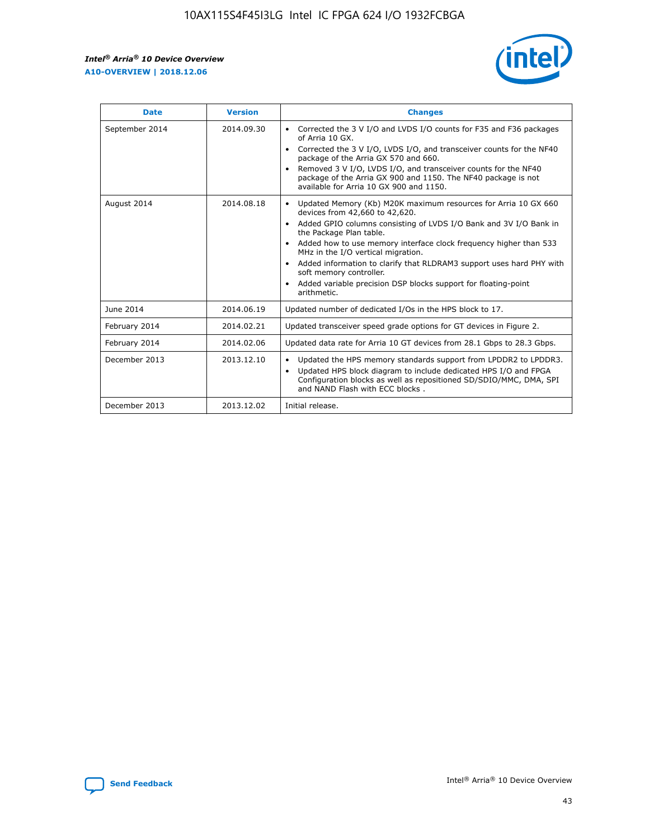r



| <b>Date</b>    | <b>Version</b> | <b>Changes</b>                                                                                                                                                                                                                                                                                                                                                                                                                                                                                                                                      |
|----------------|----------------|-----------------------------------------------------------------------------------------------------------------------------------------------------------------------------------------------------------------------------------------------------------------------------------------------------------------------------------------------------------------------------------------------------------------------------------------------------------------------------------------------------------------------------------------------------|
| September 2014 | 2014.09.30     | Corrected the 3 V I/O and LVDS I/O counts for F35 and F36 packages<br>$\bullet$<br>of Arria 10 GX.<br>Corrected the 3 V I/O, LVDS I/O, and transceiver counts for the NF40<br>$\bullet$<br>package of the Arria GX 570 and 660.<br>Removed 3 V I/O, LVDS I/O, and transceiver counts for the NF40<br>package of the Arria GX 900 and 1150. The NF40 package is not<br>available for Arria 10 GX 900 and 1150.                                                                                                                                       |
| August 2014    | 2014.08.18     | Updated Memory (Kb) M20K maximum resources for Arria 10 GX 660<br>devices from 42,660 to 42,620.<br>Added GPIO columns consisting of LVDS I/O Bank and 3V I/O Bank in<br>$\bullet$<br>the Package Plan table.<br>Added how to use memory interface clock frequency higher than 533<br>$\bullet$<br>MHz in the I/O vertical migration.<br>Added information to clarify that RLDRAM3 support uses hard PHY with<br>$\bullet$<br>soft memory controller.<br>Added variable precision DSP blocks support for floating-point<br>$\bullet$<br>arithmetic. |
| June 2014      | 2014.06.19     | Updated number of dedicated I/Os in the HPS block to 17.                                                                                                                                                                                                                                                                                                                                                                                                                                                                                            |
| February 2014  | 2014.02.21     | Updated transceiver speed grade options for GT devices in Figure 2.                                                                                                                                                                                                                                                                                                                                                                                                                                                                                 |
| February 2014  | 2014.02.06     | Updated data rate for Arria 10 GT devices from 28.1 Gbps to 28.3 Gbps.                                                                                                                                                                                                                                                                                                                                                                                                                                                                              |
| December 2013  | 2013.12.10     | Updated the HPS memory standards support from LPDDR2 to LPDDR3.<br>Updated HPS block diagram to include dedicated HPS I/O and FPGA<br>$\bullet$<br>Configuration blocks as well as repositioned SD/SDIO/MMC, DMA, SPI<br>and NAND Flash with ECC blocks.                                                                                                                                                                                                                                                                                            |
| December 2013  | 2013.12.02     | Initial release.                                                                                                                                                                                                                                                                                                                                                                                                                                                                                                                                    |